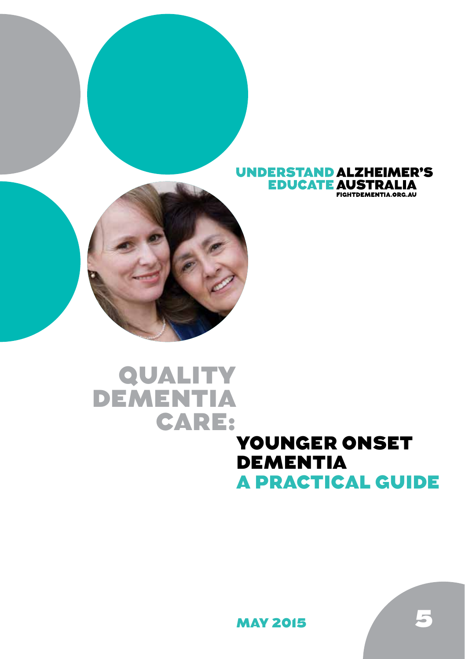



# QUALITY DEMENTIA CARE:

## YOUNGER ONSET DEMENTIA A PRACTICAL GUIDE

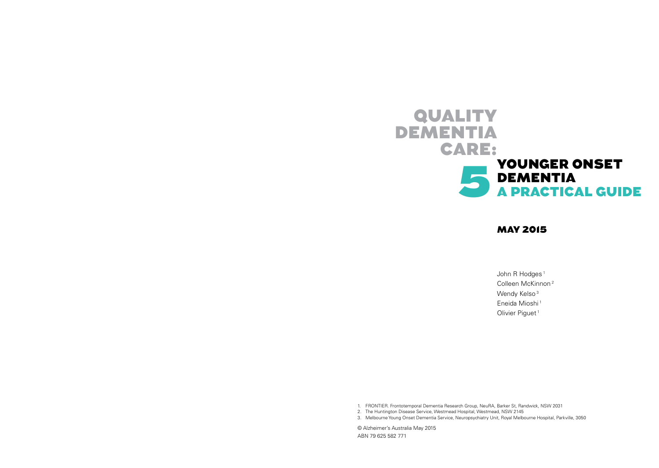

## MAY 2015

John R Hodges<sup>1</sup> Colleen McKinnon 2 Wendy Kelso<sup>3</sup> Eneida Mioshi<sup>1</sup> Olivier Piguet<sup>1</sup>

1. FRONTIER. Frontotemporal Dementia Research Group, NeuRA, Barker St, Randwick, NSW 2031

2. The Huntington Disease Service, Westmead Hospital, Westmead, NSW 2145

3. Melbourne Young Onset Dementia Service, Neuropsychiatry Unit, Royal Melbourne Hospital, Parkville, 3050

© Alzheimer's Australia May 2015 ABN 79 625 582 771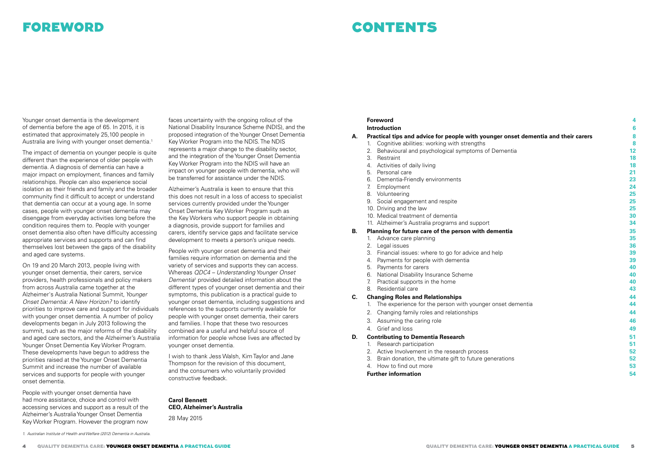## FOREWORD

## CONTENTS

Younger onset dementia is the development of dementia before the age of 65. In 2015, it is estimated that approximately 25,100 people in Australia are living with younger onset dementia.<sup>1</sup>

The impact of dementia on younger people is quite different than the experience of older people with dementia. A diagnosis of dementia can have a major impact on employment, finances and family relationships. People can also experience social isolation as their friends and family and the broader community find it difficult to accept or understand that dementia can occur at a young age. In some cases, people with younger onset dementia may disengage from everyday activities long before the condition requires them to. People with younger onset dementia also often have difficulty accessing appropriate services and supports and can find themselves lost between the gaps of the disability and aged care systems.

On 19 and 20 March 2013, people living with younger onset dementia, their carers, service providers, health professionals and policy makers from across Australia came together at the Alzheimer's Australia National Summit, *Younger Onset Dementia: A New Horizon?* to identify priorities to improve care and support for individuals with younger onset dementia. A number of policy developments began in July 2013 following the summit, such as the major reforms of the disability and aged care sectors, and the Alzheimer's Australia Younger Onset Dementia Key Worker Program. These developments have begun to address the priorities raised at the Younger Onset Dementia Summit and increase the number of available services and supports for people with younger onset dementia.

People with younger onset dementia have had more assistance, choice and control with accessing services and support as a result of the Alzheimer's Australia Younger Onset Dementia Key Worker Program. However the program now

faces uncertainty with the ongoing rollout of the National Disability Insurance Scheme (NDIS), and the proposed integration of the Younger Onset Dementia Key Worker Program into the NDIS. The NDIS represents a major change to the disability sector, and the integration of the Younger Onset Dementia Key Worker Program into the NDIS will have an impact on younger people with dementia, who will be transferred for assistance under the NDIS.

Alzheimer's Australia is keen to ensure that this this does not result in a loss of access to specialist services currently provided under the Younger Onset Dementia Key Worker Program such as the Key Workers who support people in obtaining a diagnosis, provide support for families and carers, identify service gaps and facilitate service development to meets a person's unique needs.

People with younger onset dementia and their families require information on dementia and the variety of services and supports they can access. Whereas *QDC4 – Understanding Younger Onset*  Dementia<sup>1</sup> provided detailed information about the different types of younger onset dementia and their symptoms, this publication is a practical guide to younger onset dementia, including suggestions and references to the supports currently available for people with younger onset dementia, their carers and families. I hope that these two resources combined are a useful and helpful source of information for people whose lives are affected by younger onset dementia.

I wish to thank Jess Walsh, Kim Taylor and Jane Thompson for the revision of this document, and the consumers who voluntarily provided constructive feedback.

**Carol Bennett CEO, Alzheimer's Australia** 

28 May 2015

## **Foreword 4**

|    | <b>Introduction</b>                                                               | 6  |
|----|-----------------------------------------------------------------------------------|----|
| А. | Practical tips and advice for people with younger onset dementia and their carers | 8  |
|    | Cognitive abilities: working with strengths<br>1.                                 | 8  |
|    | 2.<br>Behavioural and psychological symptoms of Dementia                          | 12 |
|    | 3.<br>Restraint                                                                   | 18 |
|    | 4. Activities of daily living                                                     | 18 |
|    | 5. Personal care                                                                  | 21 |
|    | 6. Dementia-Friendly environments                                                 | 23 |
|    | 7.<br>Employment                                                                  | 24 |
|    | 8. Volunteering                                                                   | 25 |
|    | 9. Social engagement and respite                                                  | 25 |
|    | 10. Driving and the law                                                           | 25 |
|    | 10. Medical treatment of dementia                                                 | 30 |
|    | 11. Alzheimer's Australia programs and support                                    | 34 |
| В. | Planning for future care of the person with dementia                              | 35 |
|    | Advance care planning<br>1.                                                       | 35 |
|    | 2.<br>Legal issues                                                                | 36 |
|    | 3.<br>Financial issues: where to go for advice and help                           | 39 |
|    | Payments for people with dementia<br>4.                                           | 39 |
|    | Payments for carers<br>5.                                                         | 40 |
|    | 6. National Disability Insurance Scheme                                           | 40 |
|    | 7.<br>Practical supports in the home                                              | 40 |
|    | 8. Residential care                                                               | 43 |
| C. | <b>Changing Roles and Relationships</b>                                           | 44 |
|    | The experience for the person with younger onset dementia<br>1.                   | 44 |
|    | 2.<br>Changing family roles and relationships                                     | 44 |
|    | 3.<br>Assuming the caring role                                                    | 46 |
|    | 4. Grief and loss                                                                 | 49 |
| D. | <b>Contributing to Dementia Research</b>                                          | 51 |
|    | Research participation<br>1.                                                      | 51 |
|    | 2. Active Involvement in the research process                                     | 52 |
|    | Brain donation, the ultimate gift to future generations<br>3.                     | 52 |
|    | 4. How to find out more                                                           | 53 |
|    | <b>Further information</b>                                                        | 54 |
|    |                                                                                   |    |

<sup>1.</sup> Australian Institute of Health and Welfare (2012) Dementia in Australia.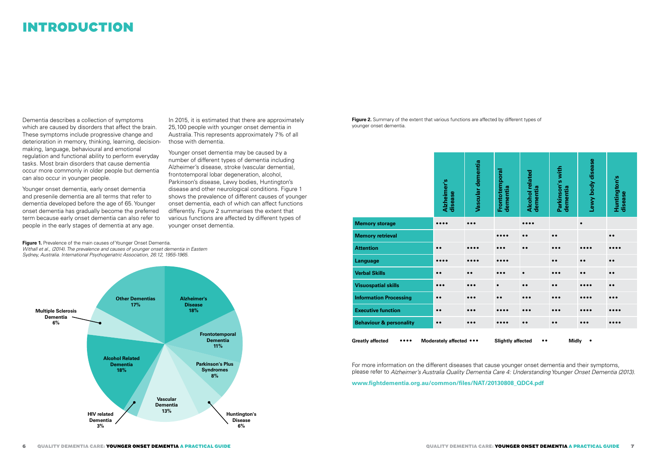## INTRODUCTION

Dementia describes a collection of symptoms which are caused by disorders that affect the brain. These symptoms include progressive change and deterioration in memory, thinking, learning, decisionmaking, language, behavioural and emotional regulation and functional ability to perform everyday tasks. Most brain disorders that cause dementia occur more commonly in older people but dementia can also occur in younger people.

Younger onset dementia, early onset dementia and presenile dementia are all terms that refer to dementia developed before the age of 65. Younger onset dementia has gradually become the preferred term because early onset dementia can also refer to people in the early stages of dementia at any age.

In 2015, it is estimated that there are approximately 25,100 people with younger onset dementia in Australia. This represents approximately 7% of all those with dementia.

Younger onset dementia may be caused by a number of different types of dementia including Alzheimer's disease, stroke (vascular dementia), frontotemporal lobar degeneration, alcohol, Parkinson's disease, Lewy bodies, Huntington's disease and other neurological conditions. Figure 1 shows the prevalence of different causes of younger onset dementia, each of which can affect functions differently. Figure 2 summarises the extent that various functions are affected by different types of younger onset dementia.

**Figure 1.** Prevalence of the main causes of Younger Onset Dementia. Withall et al., (2014). The prevalence and causes of younger onset dementia in Eastern Sydney, Australia. International Psychogeriatric Association, 26:12, 1955-1965.



**Figure 2.** Summary of the extent that various functions are affected by different types of younger onset dementia.

|                                                                                                                             | Alzheimer's<br>disease  | Vascular dementia       | Frontotemporal<br>dementia | <b>Alcohol related</b><br>dementia | Parkinson's with<br>dementia | Lewy body disease       | Huntington's<br>disease        |
|-----------------------------------------------------------------------------------------------------------------------------|-------------------------|-------------------------|----------------------------|------------------------------------|------------------------------|-------------------------|--------------------------------|
| <b>Memory storage</b>                                                                                                       |                         |                         |                            |                                    |                              | $\bullet$               |                                |
| <b>Memory retrieval</b>                                                                                                     |                         |                         | .                          | $\bullet$                          | $\bullet\bullet$             |                         | $\bullet$                      |
| <b>Attention</b>                                                                                                            | $\bullet$               |                         |                            | $\bullet$                          |                              |                         |                                |
| Language                                                                                                                    | $\bullet\bullet\bullet$ |                         |                            |                                    | $\bullet$                    | $\bullet$               | $\bullet$                      |
| <b>Verbal Skills</b>                                                                                                        | $\bullet\bullet$        | $\bullet$               | $\bullet$                  | $\bullet$                          | $\bullet\bullet\bullet$      | $\bullet$               | $\bullet$                      |
| <b>Visuospatial skills</b>                                                                                                  | $\bullet\bullet\bullet$ | $\bullet$               | $\epsilon$                 | $\bullet$                          | $\bullet$                    |                         | $\bullet$                      |
| <b>Information Processing</b>                                                                                               | $\bullet$               | $^{\bullet}$            |                            |                                    |                              |                         |                                |
| <b>Executive function</b>                                                                                                   | $\bullet\bullet$        | $\bullet\bullet\bullet$ |                            | $\bullet\bullet\bullet$            |                              |                         |                                |
| <b>Behaviour &amp; personality</b>                                                                                          | $\bullet\bullet$        | $\bullet\bullet\bullet$ |                            | $\bullet\bullet$                   | $\bullet$                    | $\bullet\bullet\bullet$ | $\bullet\bullet\bullet\bullet$ |
| <b>Greatly affected</b><br>Moderately affected •••<br><b>Slightly affected</b><br><b>Midly</b><br>$\bullet\bullet$<br>٠<br> |                         |                         |                            |                                    |                              |                         |                                |

For more information on the different diseases that cause younger onset dementia and their symptoms, please refer to Alzheimer's Australia Quality Dementia Care 4: Understanding Younger Onset Dementia (2013).

**www.fightdementia.org.au/common/files/NAT/20130808\_QDC4.pdf**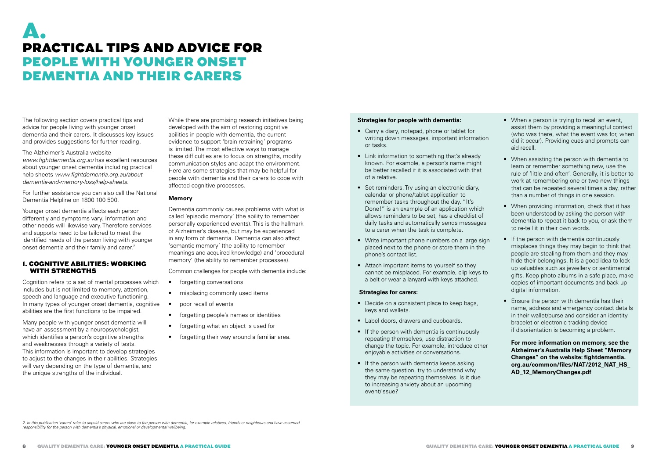## A. PRACTICAL TIPS AND ADVICE FOR PEOPLE WITH YOUNGER ONSET DEMENTIA AND THEIR CARERS

The following section covers practical tips and advice for people living with younger onset dementia and their carers. It discusses key issues and provides suggestions for further reading.

The Alzheimer's Australia website *www.fightdementia.org.au* has excellent resources about younger onset dementia including practical help sheets *www.fightdementia.org.au/aboutdementia-and-memory-loss/help-sheets*.

For further assistance you can also call the National Dementia Helpline on 1800 100 500.

Younger onset dementia affects each person differently and symptoms vary. Information and other needs will likewise vary. Therefore services and supports need to be tailored to meet the identified needs of the person living with younger onset dementia and their family and carer.<sup>2</sup>

#### 1. COGNITIVE ABILITIES: WORKING WITH STRENGTHS

Cognition refers to a set of mental processes which includes but is not limited to memory, attention, speech and language and executive functioning. In many types of younger onset dementia, cognitive abilities are the first functions to be impaired.

Many people with younger onset dementia will have an assessment by a neuropsychologist, which identifies a person's cognitive strengths and weaknesses through a variety of tests. This information is important to develop strategies to adjust to the changes in their abilities. Strategies will vary depending on the type of dementia, and the unique strengths of the individual.

While there are promising research initiatives being developed with the aim of restoring cognitive abilities in people with dementia, the current evidence to support 'brain retraining' programs is limited. The most effective ways to manage these difficulties are to focus on strengths, modify communication styles and adapt the environment. Here are some strategies that may be helpful for people with dementia and their carers to cope with affected cognitive processes.

## **Memory**

Dementia commonly causes problems with what is called 'episodic memory' (the ability to remember personally experienced events). This is the hallmark of Alzheimer's disease, but may be experienced in any form of dementia. Dementia can also affect 'semantic memory' (the ability to remember meanings and acquired knowledge) and 'procedural memory' (the ability to remember processes).

Common challenges for people with dementia include:

- forgetting conversations
- misplacing commonly used items
- poor recall of events
- forgetting people's names or identities
- forgetting what an object is used for
- forgetting their way around a familiar area.

## **Strategies for people with dementia:**

- Carry a diary, notepad, phone or tablet for writing down messages, important information or tasks.
- Link information to something that's already known. For example, a person's name might be better recalled if it is associated with that of a relative.
- Set reminders. Try using an electronic diary, calendar or phone/tablet application to remember tasks throughout the day. "It's Done!" is an example of an application which allows reminders to be set, has a checklist of daily tasks and automatically sends messages to a carer when the task is complete.
- Write important phone numbers on a large sign placed next to the phone or store them in the phone's contact list.
- Attach important items to yourself so they cannot be misplaced. For example, clip keys to a belt or wear a lanyard with keys attached.

#### **Strategies for carers:**

- Decide on a consistent place to keep bags, keys and wallets.
- Label doors, drawers and cupboards.
- If the person with dementia is continuously repeating themselves, use distraction to change the topic. For example, introduce other enjoyable activities or conversations.
- If the person with dementia keeps asking the same question, try to understand why they may be repeating themselves. Is it due to increasing anxiety about an upcoming event/issue?
- When a person is trying to recall an event, assist them by providing a meaningful context (who was there, what the event was for, when did it occur). Providing cues and prompts can aid recall.
- When assisting the person with dementia to learn or remember something new, use the rule of 'little and often'. Generally, it is better to work at remembering one or two new things that can be repeated several times a day, rather than a number of things in one session.
- When providing information, check that it has been understood by asking the person with dementia to repeat it back to you, or ask them to re-tell it in their own words.
- If the person with dementia continuously misplaces things they may begin to think that people are stealing from them and they may hide their belongings. It is a good idea to lock up valuables such as jewellery or sentimental gifts. Keep photo albums in a safe place, make copies of important documents and back up digital information.
- Ensure the person with dementia has their name, address and emergency contact details in their wallet/purse and consider an identity bracelet or electronic tracking device if disorientation is becoming a problem.

**For more information on memory, see the Alzheimer's Australia Help Sheet "Memory Changes" on the website: fightdementia. org.au/common/files/NAT/2012\_NAT\_HS\_ AD\_12\_MemoryChanges.pdf**

2. In this publication 'carers' refer to unpaid carers who are close to the person with dementia, for example relatives, friends or neighbours and have assumed responsibility for the person with dementia's physical, emotional or developmental wellbeing.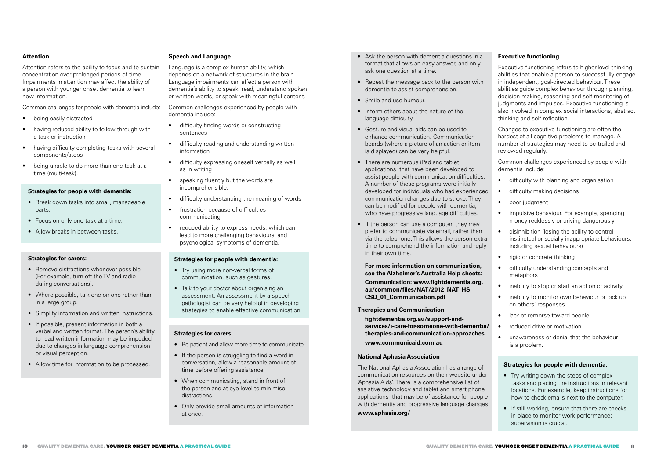#### **Attention**

Attention refers to the ability to focus and to sustain concentration over prolonged periods of time. Impairments in attention may affect the ability of a person with younger onset dementia to learn new information.

Common challenges for people with dementia include:

- being easily distracted
- having reduced ability to follow through with a task or instruction
- having difficulty completing tasks with several components/steps
- being unable to do more than one task at a time (multi-task).

#### **Strategies for people with dementia:**

- Break down tasks into small, manageable parts.
- Focus on only one task at a time.
- Allow breaks in between tasks.

## **Strategies for carers:**

- Remove distractions whenever possible (For example, turn off the TV and radio during conversations).
- Where possible, talk one-on-one rather than in a large group.
- Simplify information and written instructions.
- If possible, present information in both a verbal and written format. The person's ability to read written information may be impeded due to changes in language comprehension or visual perception.
- Allow time for information to be processed.

## **Speech and Language**

Language is a complex human ability, which depends on a network of structures in the brain. Language impairments can affect a person with dementia's ability to speak, read, understand spoken or written words, or speak with meaningful content.

Common challenges experienced by people with dementia include:

- difficulty finding words or constructing sentences
- difficulty reading and understanding written information
- difficulty expressing oneself verbally as well as in writing
- speaking fluently but the words are incomprehensible.
- difficulty understanding the meaning of words
- frustration because of difficulties communicating
- reduced ability to express needs, which can lead to more challenging behavioural and psychological symptoms of dementia.

## **Strategies for people with dementia:**

- Try using more non-verbal forms of communication, such as gestures.
- Talk to your doctor about organising an assessment. An assessment by a speech pathologist can be very helpful in developing strategies to enable effective communication.

#### **Strategies for carers:**

- Be patient and allow more time to communicate.
- If the person is struggling to find a word in conversation, allow a reasonable amount of time before offering assistance.
- When communicating, stand in front of the person and at eye level to minimise distractions.
- Only provide small amounts of information at once.
- Ask the person with dementia questions in a format that allows an easy answer, and only ask one question at a time.
- Repeat the message back to the person with dementia to assist comprehension.
- Smile and use humour.
- Inform others about the nature of the language difficulty.
- Gesture and visual aids can be used to enhance communication. Communication boards (where a picture of an action or item is displayed) can be very helpful.
- There are numerous iPad and tablet applications that have been developed to assist people with communication difficulties. A number of these programs were initially developed for individuals who had experienced communication changes due to stroke. They can be modified for people with dementia, who have progressive language difficulties.
- If the person can use a computer, they may prefer to communicate via email, rather than via the telephone. This allows the person extra time to comprehend the information and reply in their own time.

#### **For more information on communication, see the Alzheimer's Australia Help sheets:**

**Communication: www.fightdementia.org. au/common/files/NAT/2012\_NAT\_HS\_ CSD\_01\_Communication.pdf**

## **Therapies and Communication:**

**fightdementia.org.au/support-andservices/i-care-for-someone-with-dementia/ therapies-and-communication-approaches www.communicaid.com.au**

## **National Aphasia Association**

The National Aphasia Association has a range of communication resources on their website under 'Aphasia Aids'. There is a comprehensive list of assistive technology and tablet and smart phone applications that may be of assistance for people with dementia and progressive language changes **www.aphasia.org/**

### **Executive functioning**

Executive functioning refers to higher-level thinking abilities that enable a person to successfully engage in independent, goal-directed behaviour. These abilities guide complex behaviour through planning, decision-making, reasoning and self-monitoring of judaments and impulses. Executive functioning is also involved in complex social interactions, abstract thinking and self-reflection.

Changes to executive functioning are often the hardest of all cognitive problems to manage. A number of strategies may need to be trailed and reviewed regularly.

Common challenges experienced by people with dementia include:

- difficulty with planning and organisation
- difficulty making decisions
- poor judgment
- impulsive behaviour. For example, spending money recklessly or driving dangerously
- disinhibition (losing the ability to control instinctual or socially-inappropriate behaviours, including sexual behaviours)
- rigid or concrete thinking
- difficulty understanding concepts and metaphors
- inability to stop or start an action or activity
- inability to monitor own behaviour or pick up on others' responses
- lack of remorse toward people
- reduced drive or motivation
- unawareness or denial that the behaviour is a problem.

## **Strategies for people with dementia:**

- Try writing down the steps of complex tasks and placing the instructions in relevant locations. For example, keep instructions for how to check emails next to the computer.
- If still working, ensure that there are checks in place to monitor work performance; supervision is crucial.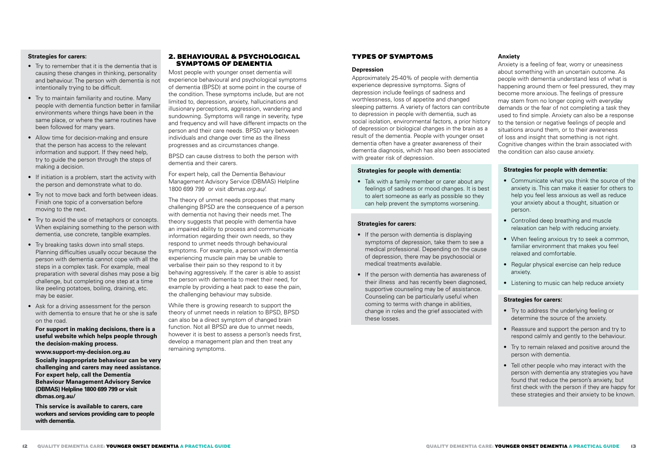#### **Strategies for carers:**

- Try to remember that it is the dementia that is causing these changes in thinking, personality and behaviour. The person with dementia is not intentionally trying to be difficult.
- Try to maintain familiarity and routine. Many people with dementia function better in familiar environments where things have been in the same place, or where the same routines have been followed for many years.
- Allow time for decision-making and ensure that the person has access to the relevant information and support. If they need help, try to guide the person through the steps of making a decision.
- If initiation is a problem, start the activity with the person and demonstrate what to do.
- Try not to move back and forth between ideas. Finish one topic of a conversation before moving to the next.
- Try to avoid the use of metaphors or concepts. When explaining something to the person with dementia, use concrete, tangible examples.
- Try breaking tasks down into small steps. Planning difficulties usually occur because the person with dementia cannot cope with all the steps in a complex task. For example, meal preparation with several dishes may pose a big challenge, but completing one step at a time like peeling potatoes, boiling, draining, etc. may be easier.
- Ask for a driving assessment for the person with dementia to ensure that he or she is safe on the road.

**For support in making decisions, there is a useful website which helps people through the decision-making process.**

**www.support-my-decision.org.au**

**Socially inappropriate behaviour can be very challenging and carers may need assistance. For expert help, call the Dementia Behaviour Management Advisory Service (DBMAS) Helpline 1800 699 799 or visit dbmas.org.au/**

**This service is available to carers, care workers and services providing care to people with dementia.**

## 2. BEHAVIOURAL & PSYCHOLOGICAL SYMPTOMS OF DEMENTIA

Most people with younger onset dementia will experience behavioural and psychological symptoms of dementia (BPSD) at some point in the course of the condition. These symptoms include, but are not limited to, depression, anxiety, hallucinations and illusionary perceptions, aggression, wandering and sundowning. Symptoms will range in severity, type and frequency and will have different impacts on the person and their care needs. BPSD vary between individuals and change over time as the illness progresses and as circumstances change.

BPSD can cause distress to both the person with dementia and their carers.

For expert help, call the Dementia Behaviour Management Advisory Service (DBMAS) Helpline 1800 699 799 or visit *dbmas.org.au/.*

The theory of unmet needs proposes that many challenging BPSD are the consequence of a person with dementia not having their needs met. The theory suggests that people with dementia have an impaired ability to process and communicate information regarding their own needs, so they respond to unmet needs through behavioural symptoms. For example, a person with dementia experiencing muscle pain may be unable to verbalise their pain so they respond to it by behaving aggressively. If the carer is able to assist the person with dementia to meet their need, for example by providing a heat pack to ease the pain, the challenging behaviour may subside.

While there is growing research to support the theory of unmet needs in relation to BPSD, BPSD can also be a direct symptom of changed brain function. Not all BPSD are due to unmet needs, however it is best to assess a person's needs first, develop a management plan and then treat any remaining symptoms.

## TYPES OF SYMPTOMS

#### **Depression**

Approximately 25-40% of people with dementia experience depressive symptoms. Signs of depression include feelings of sadness and worthlessness, loss of appetite and changed sleeping patterns. A variety of factors can contribute to depression in people with dementia, such as social isolation, environmental factors, a prior history of depression or biological changes in the brain as a result of the dementia. People with younger onset dementia often have a greater awareness of their dementia diagnosis, which has also been associated with greater risk of depression.

#### **Strategies for people with dementia:**

• Talk with a family member or carer about any feelings of sadness or mood changes. It is best to alert someone as early as possible so they can help prevent the symptoms worsening.

#### **Strategies for carers:**

- If the person with dementia is displaying symptoms of depression, take them to see a medical professional. Depending on the cause of depression, there may be psychosocial or medical treatments available.
- If the person with dementia has awareness of their illness and has recently been diagnosed, supportive counseling may be of assistance. Counseling can be particularly useful when coming to terms with change in abilities, change in roles and the grief associated with these losses.

## **Anxiety**

Anxiety is a feeling of fear, worry or uneasiness about something with an uncertain outcome. As people with dementia understand less of what is happening around them or feel pressured, they may become more anxious. The feelings of pressure may stem from no longer coping with everyday demands or the fear of not completing a task they used to find simple. Anxiety can also be a response to the tension or negative feelings of people and situations around them, or to their awareness of loss and insight that something is not right. Cognitive changes within the brain associated with the condition can also cause anxiety.

#### **Strategies for people with dementia:**

- Communicate what you think the source of the anxiety is. This can make it easier for others to help you feel less anxious as well as reduce your anxiety about a thought, situation or person.
- Controlled deep breathing and muscle relaxation can help with reducing anxiety.
- When feeling anxious try to seek a common, familiar environment that makes you feel relaxed and comfortable.
- Regular physical exercise can help reduce anxiety.
- Listening to music can help reduce anxiety

#### **Strategies for carers:**

- Try to address the underlying feeling or determine the source of the anxiety.
- Reassure and support the person and try to respond calmly and gently to the behaviour.
- Try to remain relaxed and positive around the person with dementia.
- Tell other people who may interact with the person with dementia any strategies you have found that reduce the person's anxiety, but first check with the person if they are happy for these strategies and their anxiety to be known.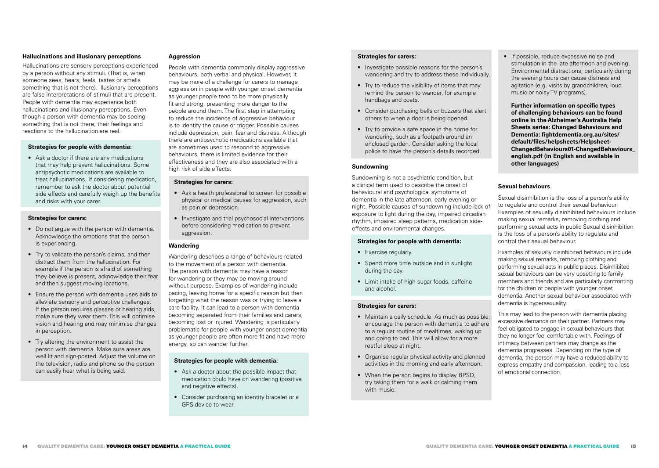#### **Hallucinations and illusionary perceptions**

Hallucinations are sensory perceptions experienced by a person without any stimuli. (That is, when someone sees, hears, feels, tastes or smells something that is not there). Illusionary perceptions are false interpretations of stimuli that are present. People with dementia may experience both hallucinations and illusionary perceptions. Even though a person with dementia may be seeing something that is not there, their feelings and reactions to the hallucination are real.

#### **Strategies for people with dementia:**

• Ask a doctor if there are any medications that may help prevent hallucinations. Some antipsychotic medications are available to treat hallucinations. If considering medication, remember to ask the doctor about potential side effects and carefully weigh up the benefits and risks with your carer.

#### **Strategies for carers:**

- Do not argue with the person with dementia. Acknowledge the emotions that the person is experiencing.
- Try to validate the person's claims, and then distract them from the hallucination. For example if the person is afraid of something they believe is present, acknowledge their fear and then suggest moving locations.
- Ensure the person with dementia uses aids to alleviate sensory and perceptive challenges. If the person requires glasses or hearing aids, make sure they wear them. This will optimise vision and hearing and may minimise changes in perception.
- Try altering the environment to assist the person with dementia. Make sure areas are well lit and sign-posted. Adjust the volume on the television, radio and phone so the person can easily hear what is being said.

#### **Aggression**

People with dementia commonly display aggressive behaviours, both verbal and physical. However, it may be more of a challenge for carers to manage aggression in people with younger onset dementia as younger people tend to be more physically fit and strong, presenting more danger to the people around them. The first step in attempting to reduce the incidence of aggressive behaviour is to identify the cause or trigger. Possible causes include depression, pain, fear and distress. Although there are antipsychotic medications available that are sometimes used to respond to aggressive behaviours, there is limited evidence for their effectiveness and they are also associated with a high risk of side effects.

#### **Strategies for carers:**

- Ask a health professional to screen for possible physical or medical causes for aggression, such as pain or depression.
- Investigate and trial psychosocial interventions before considering medication to prevent aggression.

#### **Wandering**

Wandering describes a range of behaviours related to the movement of a person with dementia. The person with dementia may have a reason for wandering or they may be moving around without purpose. Examples of wandering include pacing, leaving home for a specific reason but then forgetting what the reason was or trying to leave a care facility. It can lead to a person with dementia becoming separated from their families and carers, becoming lost or injured. Wandering is particularly problematic for people with younger onset dementia as younger people are often more fit and have more energy, so can wander further.

#### **Strategies for people with dementia:**

- Ask a doctor about the possible impact that medication could have on wandering (positive and negative effects).
- Consider purchasing an identity bracelet or a GPS device to wear.

## **Strategies for carers:**

- Investigate possible reasons for the person's wandering and try to address these individually.
- Try to reduce the visibility of items that may remind the person to wander, for example handbags and coats.
- Consider purchasing bells or buzzers that alert others to when a door is being opened.
- Try to provide a safe space in the home for wandering, such as a footpath around an enclosed garden. Consider asking the local police to have the person's details recorded.

#### **Sundowning**

Sundowning is not a psychiatric condition, but a clinical term used to describe the onset of behavioural and psychological symptoms of dementia in the late afternoon, early evening or night. Possible causes of sundowning include lack of exposure to light during the day, impaired circadian rhythm, impaired sleep patterns, medication sideeffects and environmental changes.

## **Strategies for people with dementia:**

- Exercise regularly.
- Spend more time outside and in sunlight during the day.
- Limit intake of high sugar foods, caffeine and alcohol.

#### **Strategies for carers:**

- Maintain a daily schedule. As much as possible, encourage the person with dementia to adhere to a regular routine of mealtimes, waking up and going to bed. This will allow for a more restful sleep at night.
- Organise regular physical activity and planned activities in the morning and early afternoon.
- When the person begins to display BPSD, try taking them for a walk or calming them with music.

• If possible, reduce excessive noise and stimulation in the late afternoon and evening. Environmental distractions, particularly during the evening hours can cause distress and agitation (e.g. visits by grandchildren, loud music or noisy TV programs).

**Further information on specific types of challenging behaviours can be found online in the Alzheimer's Australia Help Sheets series: Changed Behaviours and Dementia: fightdementia.org.au/sites/ default/files/helpsheets/Helpsheet-ChangedBehaviours01-ChangedBehaviours\_ english.pdf (in English and available in other languages)**

## **Sexual behaviours**

Sexual disinhibition is the loss of a person's ability to regulate and control their sexual behaviour. Examples of sexually disinhibited behaviours include making sexual remarks, removing clothing and performing sexual acts in public Sexual disinhibition is the loss of a person's ability to regulate and control their sexual behaviour.

Examples of sexually disinhibited behaviours include making sexual remarks, removing clothing and performing sexual acts in public places. Disinhibited sexual behaviours can be very upsetting to family members and friends and are particularly confronting for the children of people with younger onset dementia. Another sexual behaviour associated with dementia is hypersexuality.

This may lead to the person with dementia placing excessive demands on their partner. Partners may feel obligated to engage in sexual behaviours that they no longer feel comfortable with. Feelings of intimacy between partners may change as the dementia progresses. Depending on the type of dementia, the person may have a reduced ability to express empathy and compassion, leading to a loss of emotional connection.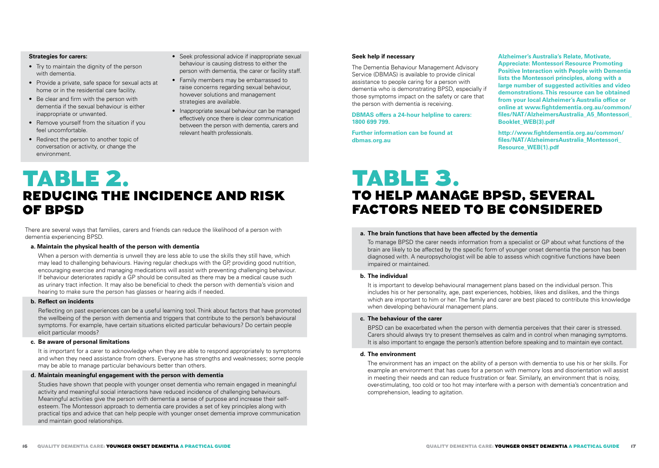#### **Strategies for carers:**

- Try to maintain the dignity of the person with dementia.
- Provide a private, safe space for sexual acts at home or in the residential care facility.
- Be clear and firm with the person with dementia if the sexual behaviour is either inappropriate or unwanted.
- Remove yourself from the situation if you feel uncomfortable.
- Redirect the person to another topic of conversation or activity, or change the environment.
- Seek professional advice if inappropriate sexual behaviour is causing distress to either the person with dementia, the carer or facility staff.
- Family members may be embarrassed to raise concerns regarding sexual behaviour, however solutions and management strategies are available.
- Inappropriate sexual behaviour can be managed effectively once there is clear communication between the person with dementia, carers and relevant health professionals.

#### **Seek help if necessary**

The Dementia Behaviour Management Advisory Service (DBMAS) is available to provide clinical assistance to people caring for a person with dementia who is demonstrating BPSD, especially if those symptoms impact on the safety or care that the person with dementia is receiving.

**DBMAS offers a 24-hour helpline to carers: 1800 699 799.** 

**Further information can be found at dbmas.org.au**

**Alzheimer's Australia's Relate, Motivate, Appreciate: Montessori Resource Promoting Positive Interaction with People with Dementia lists the Montessori principles, along with a large number of suggested activities and video demonstrations. This resource can be obtained from your local Alzheimer's Australia office or online at www.fightdementia.org.au/common/ files/NAT/AlzheimersAustralia\_A5\_Montessori\_ Booklet\_WEB(3).pdf**

**http://www.fightdementia.org.au/common/ files/NAT/AlzheimersAustralia\_Montessori\_ Resource\_WEB(1).pdf**

# TABLE 2. REDUCING THE INCIDENCE AND RISK OF BPSD

There are several ways that families, carers and friends can reduce the likelihood of a person with dementia experiencing BPSD.

#### **a. Maintain the physical health of the person with dementia**

When a person with dementia is unwell they are less able to use the skills they still have, which may lead to challenging behaviours. Having regular checkups with the GP, providing good nutrition, encouraging exercise and managing medications will assist with preventing challenging behaviour. If behaviour deteriorates rapidly a GP should be consulted as there may be a medical cause such as urinary tract infection. It may also be beneficial to check the person with dementia's vision and hearing to make sure the person has glasses or hearing aids if needed.

#### **b. Reflect on incidents**

Reflecting on past experiences can be a useful learning tool. Think about factors that have promoted the wellbeing of the person with dementia and triggers that contribute to the person's behavioural symptoms. For example, have certain situations elicited particular behaviours? Do certain people elicit particular moods?

#### **c. Be aware of personal limitations**

It is important for a carer to acknowledge when they are able to respond appropriately to symptoms and when they need assistance from others. Everyone has strengths and weaknesses; some people may be able to manage particular behaviours better than others.

#### **d. Maintain meaningful engagement with the person with dementia**

Studies have shown that people with younger onset dementia who remain engaged in meaningful activity and meaningful social interactions have reduced incidence of challenging behaviours. Meaningful activities give the person with dementia a sense of purpose and increase their selfesteem. The Montessori approach to dementia care provides a set of key principles along with practical tips and advice that can help people with younger onset dementia improve communication and maintain good relationships.

# TABLE 3. TO HELP MANAGE BPSD, SEVERAL FACTORS NEED TO BE CONSIDERED

#### **a. The brain functions that have been affected by the dementia**

To manage BPSD the carer needs information from a specialist or GP about what functions of the brain are likely to be affected by the specific form of younger onset dementia the person has been diagnosed with. A neuropsychologist will be able to assess which cognitive functions have been impaired or maintained.

#### **b. The individual**

It is important to develop behavioural management plans based on the individual person. This includes his or her personality, age, past experiences, hobbies, likes and dislikes, and the things which are important to him or her. The family and carer are best placed to contribute this knowledge when developing behavioural management plans.

#### **c. The behaviour of the carer**

BPSD can be exacerbated when the person with dementia perceives that their carer is stressed. Carers should always try to present themselves as calm and in control when managing symptoms. It is also important to engage the person's attention before speaking and to maintain eye contact.

### **d. The environment**

The environment has an impact on the ability of a person with dementia to use his or her skills. For example an environment that has cues for a person with memory loss and disorientation will assist in meeting their needs and can reduce frustration or fear. Similarly, an environment that is noisy, over-stimulating, too cold or too hot may interfere with a person with dementia's concentration and comprehension, leading to agitation.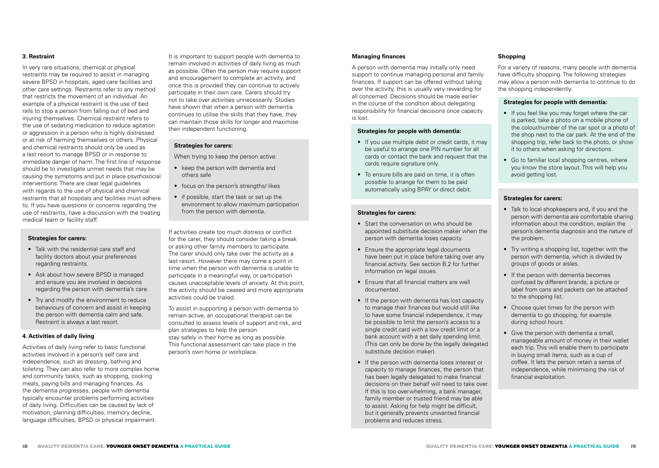### **3. Restraint**

In very rare situations, chemical or physical restraints may be required to assist in managing severe BPSD in hospitals, aged care facilities and other care settings. Restraints refer to any method that restricts the movement of an individual. An example of a physical restraint is the use of bed rails to stop a person from falling out of bed and injuring themselves. Chemical restraint refers to the use of sedating medication to reduce agitation or aggression in a person who is highly distressed or at risk of harming themselves or others. Physical and chemical restraints should only be used as a last resort to manage BPSD or in response to immediate danger of harm. The first line of response should be to investigate unmet needs that may be causing the symptoms and put in place psychosocial interventions. There are clear legal guidelines with regards to the use of physical and chemical restraints that all hospitals and facilities must adhere to. If you have questions or concerns regarding the use of restraints, have a discussion with the treating medical team or facility staff.

#### **Strategies for carers:**

- Talk with the residential care staff and facility doctors about your preferences regarding restraints.
- Ask about how severe BPSD is managed and ensure you are involved in decisions regarding the person with dementia's care.
- Try and modify the environment to reduce behaviours of concern and assist in keeping the person with dementia calm and safe. Restraint is always a last resort.

#### **4. Activities of daily living**

Activities of daily living refer to basic functional activities involved in a person's self care and independence, such as dressing, bathing and toileting. They can also refer to more complex home and community tasks, such as shopping, cooking meals, paying bills and managing finances. As the dementia progresses, people with dementia typically encounter problems performing activities of daily living. Difficulties can be caused by lack of motivation, planning difficulties, memory decline, language difficulties, BPSD or physical impairment.

It is important to support people with dementia to remain involved in activities of daily living as much as possible. Often the person may require support and encouragement to complete an activity, and once this is provided they can continue to actively participate in their own care. Carers should try not to take over activities unnecessarily. Studies have shown that when a person with dementia continues to utilise the skills that they have, they can maintain those skills for longer and maximise their independent functioning.

#### **Strategies for carers:**

When trying to keep the person active:

- keep the person with dementia and others safe
- focus on the person's strengths/ likes
- if possible, start the task or set up the environment to allow maximum participation from the person with dementia.

If activities create too much distress or conflict for the carer, they should consider taking a break or asking other family members to participate. The carer should only take over the activity as a last resort. However there may come a point in time when the person with dementia is unable to participate in a meaningful way, or participation causes unacceptable levels of anxiety. At this point, the activity should be ceased and more appropriate activities could be trialed.

To assist in supporting a person with dementia to remain active, an occupational therapist can be consulted to assess levels of support and risk, and plan strategies to help the person stay safely in their home as long as possible. This functional assessment can take place in the person's own home or workplace.

### **Managing finances**

A person with dementia may initially only need support to continue managing personal and family finances. If support can be offered without taking over the activity, this is usually very rewarding for all concerned. Decisions should be made earlier in the course of the condition about delegating responsibility for financial decisions once capacity is lost.

### **Strategies for people with dementia:**

- If you use multiple debit or credit cards, it may be useful to arrange one PIN number for all cards or contact the bank and request that the cards require signature only.
- To ensure bills are paid on time, it is often possible to arrange for them to be paid automatically using BPAY or direct debit.

## **Strategies for carers:**

- Start the conversation on who should be appointed substitute decision maker when the person with dementia loses capacity.
- Ensure the appropriate legal documents have been put in place before taking over any financial activity. See section B.2 for further information on legal issues.
- Ensure that all financial matters are well documented.
- If the person with dementia has lost capacity to manage their finances but would still like to have some financial independence, it may be possible to limit the person's access to a single credit card with a low credit limit or a bank account with a set daily spending limit. (This can only be done by the legally delegated substitute decision maker).
- If the person with dementia loses interest or capacity to manage finances, the person that has been legally delegated to make financial decisions on their behalf will need to take over. If this is too overwhelming, a bank manager, family member or trusted friend may be able to assist. Asking for help might be difficult, but it generally prevents unwanted financial problems and reduces stress.

## **Shopping**

For a variety of reasons, many people with dementia have difficulty shopping. The following strategies may allow a person with dementia to continue to do the shopping independently.

#### **Strategies for people with dementia:**

- If you feel like you may forget where the car is parked, take a photo on a mobile phone of the colour/number of the car spot or a photo of the shop next to the car park. At the end of the shopping trip, refer back to the photo, or show it to others when asking for directions.
- Go to familiar local shopping centres, where you know the store layout. This will help you avoid getting lost.

#### **Strategies for carers:**

- Talk to local shopkeepers and, if you and the person with dementia are comfortable sharing information about the condition, explain the person's dementia diagnosis and the nature of the problem.
- Try writing a shopping list, together with the person with dementia, which is divided by groups of goods or aisles.
- If the person with dementia becomes confused by different brands, a picture or label from cans and packets can be attached to the shopping list.
- Choose quiet times for the person with dementia to go shopping, for example during school hours.
- Give the person with dementia a small, manageable amount of money in their wallet each trip. This will enable them to participate in buying small items, such as a cup of coffee. It lets the person retain a sense of independence, while minimising the risk of financial exploitation.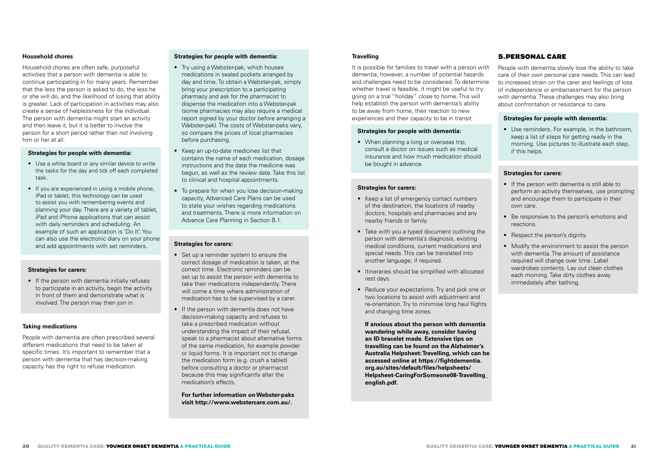#### **Household chores**

Household chores are often safe, purposeful activities that a person with dementia is able to continue participating in for many years. Remember that the less the person is asked to do, the less he or she will do, and the likelihood of losing that ability is greater. Lack of participation in activities may also create a sense of helplessness for the individual. The person with dementia might start an activity and then leave it, but it is better to involve the person for a short period rather than not involving him or her at all.

#### **Strategies for people with dementia:**

- Use a white board or any similar device to write the tasks for the day and tick off each completed task.
- If you are experienced in using a mobile phone. iPad or tablet, this technology can be used to assist you with remembering events and planning your day. There are a variety of tablet, iPad and iPhone applications that can assist with daily reminders and scheduling. An example of such an application is 'Do It'. You can also use the electronic diary on your phone and add appointments with set reminders.

## **Strategies for carers:**

• If the person with dementia initially refuses to participate in an activity, begin the activity in front of them and demonstrate what is involved. The person may then join in.

#### **Taking medications**

People with dementia are often prescribed several different medications that need to be taken at specific times. It's important to remember that a person with dementia that has decision-making capacity has the right to refuse medication.

### **Strategies for people with dementia:**

- Try using a Webster-pak, which houses medications in sealed pockets arranged by day and time. To obtain a Webster-pak, simply bring your prescription to a participating pharmacy and ask for the pharmacist to dispense the medication into a Webster-pak (some pharmacies may also require a medical report signed by your doctor before arranging a Webster-pak). The costs of Webster-paks vary, so compare the prices of local pharmacies before purchasing.
- Keep an up-to-date medicines list that contains the name of each medication, dosage instructions and the date the medicine was begun, as well as the review date. Take this list to clinical and hospital appointments.
- To prepare for when you lose decision-making capacity, Advanced Care Plans can be used to state your wishes regarding medications and treatments. There is more information on Advance Care Planning in Section B.1.

#### **Strategies for carers:**

- Set up a reminder system to ensure the correct dosage of medication is taken, at the correct time. Electronic reminders can be set up to assist the person with dementia to take their medications independently. There will come a time where administration of medication has to be supervised by a carer.
- If the person with dementia does not have decision-making capacity and refuses to take a prescribed medication without understanding the impact of their refusal, speak to a pharmacist about alternative forms of the same medication, for example powder or liquid forms. It is important not to change the medication form (e.g. crush a tablet) before consulting a doctor or pharmacist because this may significantly alter the medication's effects.

**For further information on Webster-paks visit http://www.webstercare.com.au/.**

### **Travelling**

It is possible for families to travel with a person with dementia; however, a number of potential hazards and challenges need to be considered. To determine whether travel is feasible, it might be useful to try going on a trial "holiday" close to home. This will help establish the person with dementia's ability to be away from home, their reaction to new experiences and their capacity to be in transit.

#### **Strategies for people with dementia:**

• When planning a long or overseas trip, consult a doctor on issues such as medical insurance and how much medication should be bought in advance.

#### **Strategies for carers:**

- Keep a list of emergency contact numbers of the destination, the locations of nearby doctors, hospitals and pharmacies and any nearby friends or family.
- Take with you a typed document outlining the person with dementia's diagnosis, existing medical conditions, current medications and special needs. This can be translated into another language, if required.
- Itineraries should be simplified with allocated rest days.
- Reduce your expectations. Try and pick one or two locations to assist with adjustment and re-orientation. Try to minimise long haul flights and changing time zones.

**If anxious about the person with dementia wandering while away, consider having an ID bracelet made. Extensive tips on travelling can be found on the Alzheimer's Australia Helpsheet: Travelling, which can be accessed online at https://fightdementia. org.au/sites/default/files/helpsheets/ Helpsheet-CaringForSomeone08-Travelling\_ english.pdf.**

## 5.PERSONAL CARE

People with dementia slowly lose the ability to take care of their own personal care needs. This can lead to increased strain on the carer and feelings of loss of independence or embarrassment for the person with dementia. These challenges may also bring about confrontation or resistance to care.

#### **Strategies for people with dementia:**

• Use reminders. For example, in the bathroom, keep a list of steps for getting ready in the morning. Use pictures to illustrate each step, if this helps.

#### **Strategies for carers:**

- If the person with dementia is still able to perform an activity themselves, use prompting and encourage them to participate in their own care.
- Be responsive to the person's emotions and reactions.
- Respect the person's dignity.
- Modify the environment to assist the person with dementia. The amount of assistance required will change over time. Label wardrobes contents. Lay out clean clothes each morning. Take dirty clothes away immediately after bathing.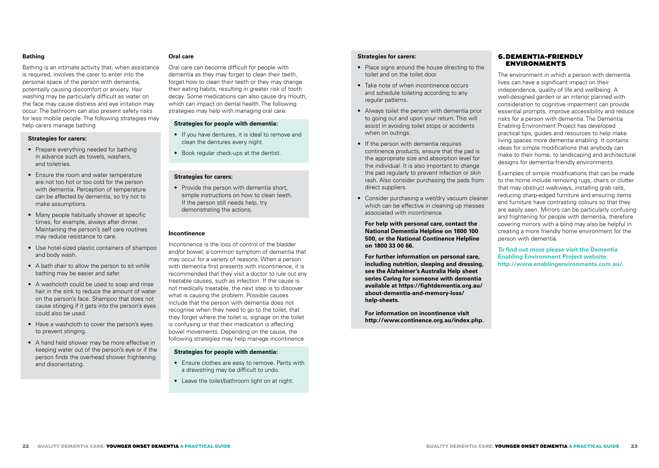## **Bathing**

Bathing is an intimate activity that, when assistance is required, involves the carer to enter into the personal space of the person with dementia, potentially causing discomfort or anxiety. Hair washing may be particularly difficult as water on the face may cause distress and eye irritation may occur. The bathroom can also present safety risks for less mobile people. The following strategies may help carers manage bathing

#### **Strategies for carers:**

- Prepare everything needed for bathing in advance such as towels, washers, and toiletries.
- Ensure the room and water temperature are not too hot or too cold for the person with dementia. Perception of temperature can be affected by dementia, so try not to make assumptions.
- Many people habitually shower at specific times, for example, always after dinner. Maintaining the person's self care routines may reduce resistance to care.
- Use hotel-sized plastic containers of shampoo and body wash.
- A bath chair to allow the person to sit while bathing may be easier and safer.
- A washcloth could be used to soap and rinse hair in the sink to reduce the amount of water on the person's face. Shampoo that does not cause stinging if it gets into the person's eyes could also be used.
- Have a washcloth to cover the person's eyes to prevent stinging.
- A hand held shower may be more effective in keeping water out of the person's eye or if the person finds the overhead shower frightening and disorientating.

#### **Oral care**

Oral care can become difficult for people with dementia as they may forget to clean their teeth. forget how to clean their teeth or they may change their eating habits, resulting in greater risk of tooth decay. Some medications can also cause dry mouth, which can impact on dental health. The following strategies may help with managing oral care:

### **Strategies for people with dementia:**

- If you have dentures, it is ideal to remove and clean the dentures every night.
- Book regular check-ups at the dentist.

#### **Strategies for carers:**

• Provide the person with dementia short, simple instructions on how to clean teeth. If the person still needs help, try demonstrating the actions.

## **Incontinence**

Incontinence is the loss of control of the bladder and/or bowel; a common symptom of dementia that may occur for a variety of reasons. When a person with dementia first presents with incontinence, it is recommended that they visit a doctor to rule out any treatable causes, such as infection. If the cause is not medically treatable, the next step is to discover what is causing the problem. Possible causes include that the person with dementia does not recognise when they need to go to the toilet, that they forget where the toilet is, signage on the toilet is confusing or that their medication is affecting bowel movements. Depending on the cause, the following strategies may help manage incontinence

#### **Strategies for people with dementia:**

- Ensure clothes are easy to remove. Pants with a drawstring may be difficult to undo.
- Leave the toilet/bathroom light on at night.

## **Strategies for carers:**

- Place signs around the house directing to the toilet and on the toilet door.
- Take note of when incontinence occurs and schedule toileting according to any regular patterns.
- Always toilet the person with dementia prior to going out and upon your return. This will assist in avoiding toilet stops or accidents when on outings.
- If the person with dementia requires continence products, ensure that the pad is the appropriate size and absorption level for the individual. It is also important to change the pad regularly to prevent infection or skin rash. Also consider purchasing the pads from direct suppliers.
- Consider purchasing a wet/dry vacuum cleaner which can be effective in cleaning up messes associated with incontinence.

**For help with personal care, contact the National Dementia Helpline on 1800 100 500, or the National Continence Helpline on 1800 33 00 66.** 

**For further information on personal care, including nutrition, sleeping and dressing, see the Alzheimer's Australia Help sheet series Caring for someone with dementia available at https://fightdementia.org.au/ about-dementia-and-memory-loss/ help-sheets.** 

**For information on incontinence visit http://www.continence.org.au/index.php.**

## 6.DEMENTIA-FRIENDLY ENVIRONMENTS

The environment in which a person with dementia lives can have a significant impact on their independence, quality of life and wellbeing. A well-designed garden or an interior planned with consideration to cognitive impairment can provide essential prompts, improve accessibility and reduce risks for a person with dementia. The Dementia Enabling Environment Project has developed practical tips, guides and resources to help make living spaces more dementia enabling. It contains ideas for simple modifications that anybody can make to their home, to landscaping and architectural designs for dementia-friendly environments.

Examples of simple modifications that can be made to the home include removing rugs, chairs or clutter that may obstruct walkways, installing grab rails, reducing sharp-edged furniture and ensuring items and furniture have contrasting colours so that they are easily seen. Mirrors can be particularly confusing and frightening for people with dementia, therefore covering mirrors with a blind may also be helpful in creating a more friendly home environment for the person with dementia.

**To find out more please visit the Dementia Enabling Environment Project website: http://www.enablingenvironments.com.au/.**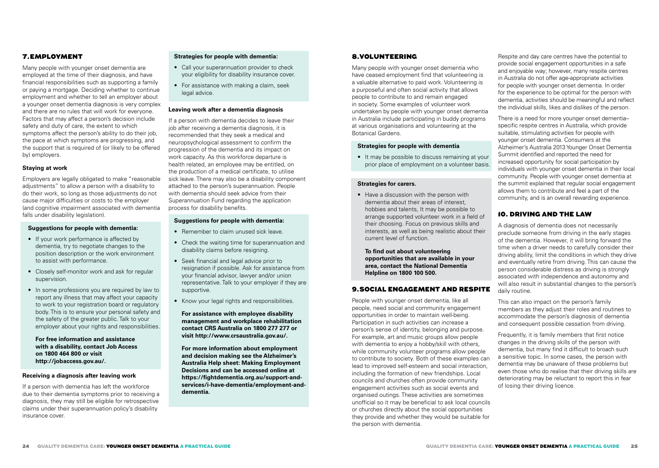## 7.EMPLOYMENT

Many people with younger onset dementia are employed at the time of their diagnosis, and have financial responsibilities such as supporting a family or paying a mortgage. Deciding whether to continue employment and whether to tell an employer about a younger onset dementia diagnosis is very complex and there are no rules that will work for everyone. Factors that may affect a person's decision include safety and duty of care, the extent to which symptoms affect the person's ability to do their job, the pace at which symptoms are progressing, and the support that is required of (or likely to be offered by) employers.

#### **Staying at work**

Employers are legally obligated to make "reasonable adjustments" to allow a person with a disability to do their work, so long as those adjustments do not cause major difficulties or costs to the employer (and cognitive impairment associated with dementia falls under disability legislation).

#### **Suggestions for people with dementia:**

- If your work performance is affected by dementia, try to negotiate changes to the position description or the work environment to assist with performance.
- Closely self-monitor work and ask for regular supervision.
- In some professions you are required by law to report any illness that may affect your capacity to work to your registration board or regulatory body. This is to ensure your personal safety and the safety of the greater public. Talk to your employer about your rights and responsibilities.

**For free information and assistance with a disability, contact Job Access on 1800 464 800 or visit http://jobaccess.gov.au/.** 

#### **Receiving a diagnosis after leaving work**

If a person with dementia has left the workforce due to their dementia symptoms prior to receiving a diagnosis, they may still be eligible for retrospective claims under their superannuation policy's disability insurance cover.

## **Strategies for people with dementia:**

- Call your superannuation provider to check your eligibility for disability insurance cover.
- For assistance with making a claim, seek legal advice.

#### **Leaving work after a dementia diagnosis**

If a person with dementia decides to leave their job after receiving a dementia diagnosis, it is recommended that they seek a medical and neuropsychological assessment to confirm the progression of the dementia and its impact on work capacity. As this workforce departure is health related, an employee may be entitled, on the production of a medical certificate, to utilise sick leave. There may also be a disability component attached to the person's superannuation. People with dementia should seek advice from their Superannuation Fund regarding the application process for disability benefits.

## **Suggestions for people with dementia:**

- Remember to claim unused sick leave.
- Check the waiting time for superannuation and disability claims before resigning.
- Seek financial and legal advice prior to resignation if possible. Ask for assistance from your financial advisor, lawyer and/or union representative. Talk to your employer if they are supportive.
- Know your legal rights and responsibilities.

**For assistance with employee disability management and workplace rehabilitation contact CRS Australia on 1800 277 277 or visit http://www.crsaustralia.gov.au/.**

**For more information about employment and decision making see the Alzheimer's Australia Help sheet: Making Employment Decisions and can be accessed online at https://fightdementia.org.au/support-andservices/i-have-dementia/employment-anddementia.** 

## 8.VOLUNTEERING

Many people with younger onset dementia who have ceased employment find that volunteering is a valuable alternative to paid work. Volunteering is a purposeful and often social activity that allows people to contribute to and remain engaged in society. Some examples of volunteer work undertaken by people with younger onset dementia in Australia include participating in buddy programs at various organisations and volunteering at the Botanical Gardens.

#### **Strategies for people with dementia**

• It may be possible to discuss remaining at your prior place of employment on a volunteer basis.

#### **Strategies for carers.**

• Have a discussion with the person with dementia about their areas of interest, hobbies and talents, It may be possible to arrange supported volunteer work in a field of their choosing. Focus on previous skills and interests, as well as being realistic about their current level of function.

**To find out about volunteering opportunities that are available in your area, contact the National Dementia Helpline on 1800 100 500.**

## 9.SOCIAL ENGAGEMENT AND RESPITE

People with younger onset dementia, like all people, need social and community engagement opportunities in order to maintain well-being. Participation in such activities can increase a person's sense of identity, belonging and purpose. For example, art and music groups allow people with dementia to enjoy a hobby/skill with others. while community volunteer programs allow people to contribute to society. Both of these examples can lead to improved self-esteem and social interaction, including the formation of new friendships. Local councils and churches often provide community engagement activities such as social events and organised outings. These activities are sometimes unofficial so it may be beneficial to ask local councils or churches directly about the social opportunities they provide and whether they would be suitable for the person with dementia.

Respite and day care centres have the potential to provide social engagement opportunities in a safe and enjoyable way; however, many respite centres in Australia do not offer age-appropriate activities for people with younger onset dementia. In order for the experience to be optimal for the person with dementia, activities should be meaningful and reflect the individual skills, likes and dislikes of the person.

There is a need for more younger onset dementia– specific respite centres in Australia, which provide suitable, stimulating activities for people with younger onset dementia. Consumers at the Alzheimer's Australia 2013 Younger Onset Dementia Summit identified and reported the need for increased opportunity for social participation by individuals with younger onset dementia in their local community. People with younger onset dementia at the summit explained that regular social engagement allows them to contribute and feel a part of the community, and is an overall rewarding experience.

## 10. DRIVING AND THE LAW

A diagnosis of dementia does not necessarily preclude someone from driving in the early stages of the dementia. However, it will bring forward the time when a driver needs to carefully consider their driving ability, limit the conditions in which they drive and eventually retire from driving. This can cause the person considerable distress as driving is strongly associated with independence and autonomy and will also result in substantial changes to the person's daily routine.

This can also impact on the person's family members as they adjust their roles and routines to accommodate the person's diagnosis of dementia and consequent possible cessation from driving.

Frequently, it is family members that first notice changes in the driving skills of the person with dementia, but many find it difficult to broach such a sensitive topic. In some cases, the person with dementia may be unaware of these problems but even those who do realise that their driving skills are deteriorating may be reluctant to report this in fear of losing their driving licence.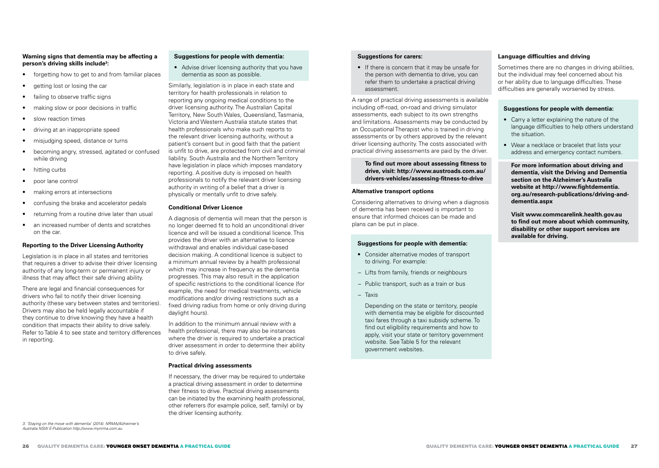## **Warning signs that dementia may be affecting a person's driving skills include3 :**

- forgetting how to get to and from familiar places
- getting lost or losing the car
- failing to observe traffic signs
- making slow or poor decisions in traffic
- slow reaction times
- driving at an inappropriate speed
- misjudging speed, distance or turns
- becoming angry, stressed, agitated or confused while driving
- hitting curbs
- poor lane control
- making errors at intersections
- confusing the brake and accelerator pedals
- returning from a routine drive later than usual
- an increased number of dents and scratches on the car.

### **Reporting to the Driver Licensing Authority**

Legislation is in place in all states and territories that requires a driver to advise their driver licensing authority of any long-term or permanent injury or illness that may affect their safe driving ability.

There are legal and financial consequences for drivers who fail to notify their driver licensing authority (these vary between states and territories). Drivers may also be held legally accountable if they continue to drive knowing they have a health condition that impacts their ability to drive safely. Refer to Table 4 to see state and territory differences in reporting.

## **Suggestions for people with dementia:**

• Advise driver licensing authority that you have dementia as soon as possible.

Similarly, legislation is in place in each state and territory for health professionals in relation to reporting any ongoing medical conditions to the driver licensing authority. The Australian Capital Territory, New South Wales, Queensland, Tasmania, Victoria and Western Australia statute states that health professionals who make such reports to the relevant driver licensing authority, without a patient's consent but in good faith that the patient is unfit to drive, are protected from civil and criminal liability. South Australia and the Northern Territory have legislation in place which imposes mandatory reporting. A positive duty is imposed on health professionals to notify the relevant driver licensing authority in writing of a belief that a driver is physically or mentally unfit to drive safely.

#### **Conditional Driver Licence**

A diagnosis of dementia will mean that the person is no longer deemed fit to hold an unconditional driver licence and will be issued a conditional licence. This provides the driver with an alternative to licence withdrawal and enables individual case-based decision making. A conditional licence is subject to a minimum annual review by a health professional which may increase in frequency as the dementia progresses. This may also result in the application of specific restrictions to the conditional licence (for example, the need for medical treatments, vehicle modifications and/or driving restrictions such as a fixed driving radius from home or only driving during daylight hours).

In addition to the minimum annual review with a health professional, there may also be instances where the driver is required to undertake a practical driver assessment in order to determine their ability to drive safely.

#### **Practical driving assessments**

If necessary, the driver may be required to undertake a practical driving assessment in order to determine their fitness to drive. Practical driving assessments can be initiated by the examining health professional, other referrers (for example police, self, family) or by the driver licensing authority.

#### **Suggestions for carers:**

• If there is concern that it may be unsafe for the person with dementia to drive, you can refer them to undertake a practical driving assessment.

A range of practical driving assessments is available including off-road, on-road and driving simulator assessments, each subject to its own strengths and limitations. Assessments may be conducted by an Occupational Therapist who is trained in driving assessments or by others approved by the relevant driver licensing authority. The costs associated with practical driving assessments are paid by the driver.

#### **To find out more about assessing fitness to drive, visit: http://www.austroads.com.au/ drivers-vehicles/assessing-fitness-to-drive**

#### **Alternative transport options**

Considering alternatives to driving when a diagnosis of dementia has been received is important to ensure that informed choices can be made and plans can be put in place.

#### **Suggestions for people with dementia:**

- Consider alternative modes of transport to driving. For example:
- − Lifts from family, friends or neighbours
- − Public transport, such as a train or bus
- − Taxis

Depending on the state or territory, people with dementia may be eligible for discounted taxi fares through a taxi subsidy scheme. To find out eligibility requirements and how to apply, visit your state or territory government website. See Table 5 for the relevant government websites.

#### **Language difficulties and driving**

Sometimes there are no changes in driving abilities, but the individual may feel concerned about his or her ability due to language difficulties. These difficulties are generally worsened by stress.

#### **Suggestions for people with dementia:**

- Carry a letter explaining the nature of the language difficulties to help others understand the situation.
- Wear a necklace or bracelet that lists your address and emergency contact numbers.

**For more information about driving and dementia, visit the Driving and Dementia section on the Alzheimer's Australia website at http://www.fightdementia. org.au/research-publications/driving-anddementia.aspx** 

**Visit www.commcarelink.health.gov.au to find out more about which community, disability or other support services are available for driving.**

3. 'Staying on the move with dementia' (2014). NRMA/Alzheimer's Australia NSW E-Publication http://www.mynrma.com.au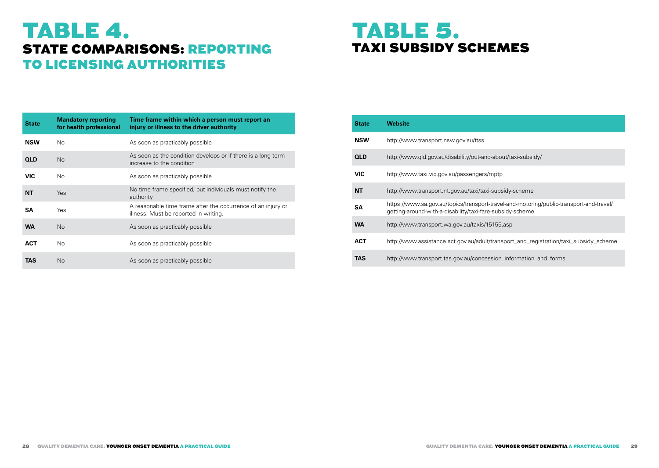# TABLE 4. STATE COMPARISONS: REPORTING TO LICENSING AUTHORITIES

# TABLE 5. TAXI SUBSIDY SCHEMES

| <b>State</b> | <b>Mandatory reporting</b><br>for health professional | Time frame within which a person must report an<br>injury or illness to the driver authority          |
|--------------|-------------------------------------------------------|-------------------------------------------------------------------------------------------------------|
| <b>NSW</b>   | No.                                                   | As soon as practicably possible                                                                       |
| <b>QLD</b>   | No.                                                   | As soon as the condition develops or if there is a long term<br>increase to the condition             |
| <b>VIC</b>   | No.                                                   | As soon as practicably possible                                                                       |
| <b>NT</b>    | <b>Yes</b>                                            | No time frame specified, but individuals must notify the<br>authority                                 |
| <b>SA</b>    | Yes                                                   | A reasonable time frame after the occurrence of an injury or<br>illness. Must be reported in writing. |
| <b>WA</b>    | No.                                                   | As soon as practicably possible                                                                       |
| <b>ACT</b>   | No.                                                   | As soon as practicably possible                                                                       |
| TAS          | No.                                                   | As soon as practicably possible                                                                       |

| <b>State</b> | Website                                                                                                                                              |
|--------------|------------------------------------------------------------------------------------------------------------------------------------------------------|
| <b>NSW</b>   | http://www.transport.nsw.gov.au/ttss                                                                                                                 |
| <b>QLD</b>   | http://www.gld.gov.au/disability/out-and-about/taxi-subsidy/                                                                                         |
| <b>VIC</b>   | http://www.taxi.vic.gov.au/passengers/mptp                                                                                                           |
| NΤ           | http://www.transport.nt.gov.au/taxi/taxi-subsidy-scheme                                                                                              |
| SA           | https://www.sa.gov.au/topics/transport-travel-and-motoring/public-transport-and-travel/<br>getting-around-with-a-disability/taxi-fare-subsidy-scheme |
| <b>WA</b>    | http://www.transport.wa.gov.au/taxis/15155.asp                                                                                                       |
| <b>ACT</b>   | http://www.assistance.act.gov.au/adult/transport_and_registration/taxi_subsidy_scheme                                                                |
| TAS          | http://www.transport.tas.gov.au/concession_information_and_forms                                                                                     |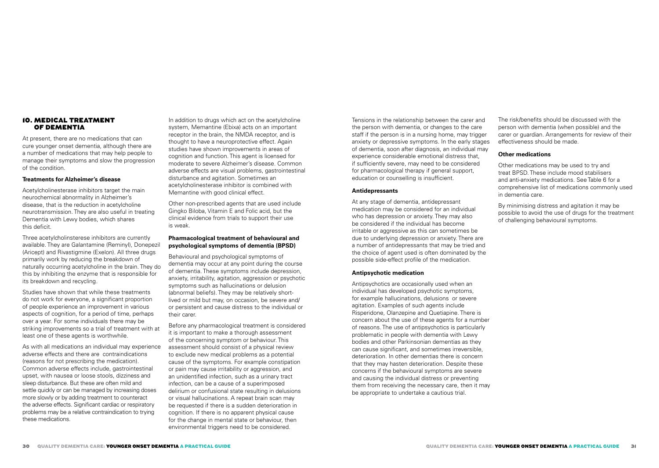#### 10. MEDICAL TREATMENT OF DEMENTIA

At present, there are no medications that can cure younger onset dementia, although there are a number of medications that may help people to manage their symptoms and slow the progression of the condition.

#### **Treatments for Alzheimer's disease**

Acetylcholinesterase inhibitors target the main neurochemical abnormality in Alzheimer's disease, that is the reduction in acetylcholine neurotransmission. They are also useful in treating Dementia with Lewy bodies, which shares this deficit.

Three acetylcholinsterese inhibitors are currently available. They are Galantamine (Reminyl), Donepezil (Aricept) and Rivastigmine (Exelon). All three drugs primarily work by reducing the breakdown of naturally occurring acetylcholine in the brain. They do this by inhibiting the enzyme that is responsible for its breakdown and recycling.

Studies have shown that while these treatments do not work for everyone, a significant proportion of people experience an improvement in various aspects of cognition, for a period of time, perhaps over a year. For some individuals there may be striking improvements so a trial of treatment with at least one of these agents is worthwhile.

As with all medications an individual may experience adverse effects and there are contraindications (reasons for not prescribing the medication). Common adverse effects include, gastrointestinal upset, with nausea or loose stools, dizziness and sleep disturbance. But these are often mild and settle quickly or can be managed by increasing doses more slowly or by adding treatment to counteract the adverse effects. Significant cardiac or respiratory problems may be a relative contraindication to trying these medications.

In addition to drugs which act on the acetylcholine system, Memantine (Ebixa) acts on an important receptor in the brain, the NMDA receptor, and is thought to have a neuroprotective effect. Again studies have shown improvements in areas of cognition and function. This agent is licensed for moderate to severe Alzheimer's disease. Common adverse effects are visual problems, gastrointestinal disturbance and agitation. Sometimes an acetylcholinesterase inhibitor is combined with Memantine with good clinical effect.

Other non-prescribed agents that are used include Gingko Biloba, Vitamin E and Folic acid, but the clinical evidence from trials to support their use is weak.

#### **Pharmacological treatment of behavioural and psychological symptoms of dementia (BPSD)**

Behavioural and psychological symptoms of dementia may occur at any point during the course of dementia. These symptoms include depression, anxiety, irritability, agitation, aggression or psychotic symptoms such as hallucinations or delusion (abnormal beliefs). They may be relatively shortlived or mild but may, on occasion, be severe and/ or persistent and cause distress to the individual or their carer.

Before any pharmacological treatment is considered it is important to make a thorough assessment of the concerning symptom or behaviour. This assessment should consist of a physical review to exclude new medical problems as a potential cause of the symptoms. For example constipation or pain may cause irritability or aggression, and an unidentified infection, such as a urinary tract infection, can be a cause of a superimposed delirium or confusional state resulting in delusions or visual hallucinations. A repeat brain scan may be requested if there is a sudden deterioration in cognition. If there is no apparent physical cause for the change in mental state or behaviour, then environmental triggers need to be considered.

Tensions in the relationship between the carer and the person with dementia, or changes to the care staff if the person is in a nursing home, may trigger anxiety or depressive symptoms. In the early stages of dementia, soon after diagnosis, an individual may experience considerable emotional distress that, if sufficiently severe, may need to be considered for pharmacological therapy if general support, education or counselling is insufficient.

#### **Antidepressants**

At any stage of dementia, antidepressant medication may be considered for an individual who has depression or anxiety. They may also be considered if the individual has become irritable or aggressive as this can sometimes be due to underlying depression or anxiety. There are a number of antidepressants that may be tried and the choice of agent used is often dominated by the possible side-effect profile of the medication.

#### **Antipsychotic medication**

Antipsychotics are occasionally used when an individual has developed psychotic symptoms, for example hallucinations, delusions or severe agitation. Examples of such agents include Risperidone, Olanzepine and Quetiapine. There is concern about the use of these agents for a number of reasons. The use of antipsychotics is particularly problematic in people with dementia with Lewy bodies and other Parkinsonian dementias as they can cause significant, and sometimes irreversible, deterioration. In other dementias there is concern that they may hasten deterioration. Despite these concerns if the behavioural symptoms are severe and causing the individual distress or preventing them from receiving the necessary care, then it may be appropriate to undertake a cautious trial.

The risk/benefits should be discussed with the person with dementia (when possible) and the carer or guardian. Arrangements for review of their effectiveness should be made.

#### **Other medications**

Other medications may be used to try and treat BPSD. These include mood stabilisers and anti-anxiety medications. See Table 6 for a comprehensive list of medications commonly used in dementia care.

By minimising distress and agitation it may be possible to avoid the use of drugs for the treatment of challenging behavioural symptoms.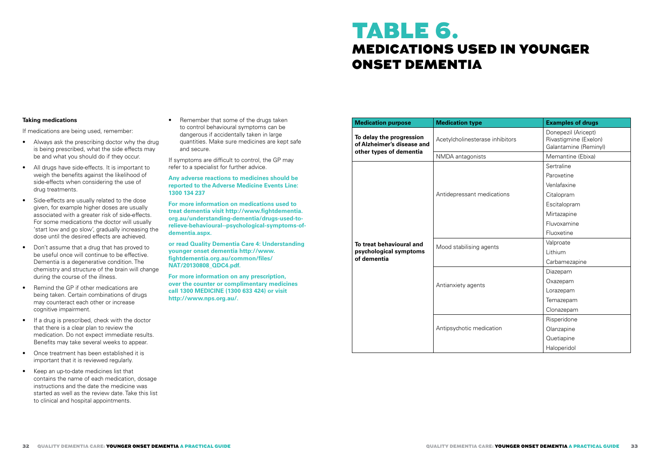# TABLE 6. MEDICATIONS USED IN YOUNGER ONSET DEMENTIA

## **Taking medications**

If medications are being used, remember:

- Always ask the prescribing doctor why the drug is being prescribed, what the side effects may be and what you should do if they occur.
- All drugs have side-effects. It is important to weigh the benefits against the likelihood of side-effects when considering the use of drug treatments.
- Side-effects are usually related to the dose given, for example higher doses are usually associated with a greater risk of side-effects. For some medications the doctor will usually 'start low and go slow', gradually increasing the dose until the desired effects are achieved.
- Don't assume that a drug that has proved to be useful once will continue to be effective. Dementia is a degenerative condition. The chemistry and structure of the brain will change during the course of the illness.
- Remind the GP if other medications are being taken. Certain combinations of drugs may counteract each other or increase cognitive impairment.
- If a drug is prescribed, check with the doctor that there is a clear plan to review the medication. Do not expect immediate results. Benefits may take several weeks to appear.
- Once treatment has been established it is important that it is reviewed regularly.
- Keep an up-to-date medicines list that contains the name of each medication, dosage instructions and the date the medicine was started as well as the review date. Take this list to clinical and hospital appointments.

• Remember that some of the drugs taken to control behavioural symptoms can be dangerous if accidentally taken in large quantities. Make sure medicines are kept safe and secure.

If symptoms are difficult to control, the GP may refer to a specialist for further advice.

**Any adverse reactions to medicines should be reported to the Adverse Medicine Events Line: 1300 134 237** 

**For more information on medications used to treat dementia visit http://www.fightdementia. org.au/understanding-dementia/drugs-used-torelieve-behavioural--psychological-symptoms-ofdementia.aspx.**

**or read Quality Dementia Care 4: Understanding younger onset dementia http://www. fightdementia.org.au/common/files/ NAT/20130808\_QDC4.pdf.**

**For more information on any prescription, over the counter or complimentary medicines call 1300 MEDICINE (1300 633 424) or visit http://www.nps.org.au/.**

| <b>Medication purpose</b>                              | <b>Medication type</b>          | <b>Examples of drugs</b>                                              |  |
|--------------------------------------------------------|---------------------------------|-----------------------------------------------------------------------|--|
| To delay the progression<br>of Alzheimer's disease and | Acetylcholinesterase inhibitors | Donepezil (Aricept)<br>Rivastigmine (Exelon)<br>Galantamine (Reminyl) |  |
| other types of dementia                                | NMDA antagonists                | Memantine (Ebixa)                                                     |  |
|                                                        |                                 | Sertraline                                                            |  |
|                                                        |                                 | Paroxetine                                                            |  |
|                                                        |                                 | Venlafaxine                                                           |  |
|                                                        | Antidepressant medications      | Citalopram                                                            |  |
|                                                        |                                 | Escitalopram                                                          |  |
|                                                        |                                 | Mirtazapine                                                           |  |
|                                                        |                                 | Fluvoxamine                                                           |  |
|                                                        |                                 | Fluoxetine                                                            |  |
| To treat behavioural and                               | Mood stabilising agents         | Valproate                                                             |  |
| psychological symptoms                                 |                                 | Lithium                                                               |  |
| of dementia                                            |                                 | Carbamezapine                                                         |  |
|                                                        | Diazepam                        |                                                                       |  |
|                                                        | Antianxiety agents              | Oxazepam                                                              |  |
|                                                        |                                 | Lorazepam                                                             |  |
|                                                        |                                 | Temazepam                                                             |  |
|                                                        |                                 | Clonazepam                                                            |  |
|                                                        |                                 | Risperidone                                                           |  |
|                                                        | Antipsychotic medication        | Olanzapine                                                            |  |
|                                                        |                                 | Quetiapine                                                            |  |
|                                                        |                                 | Haloperidol                                                           |  |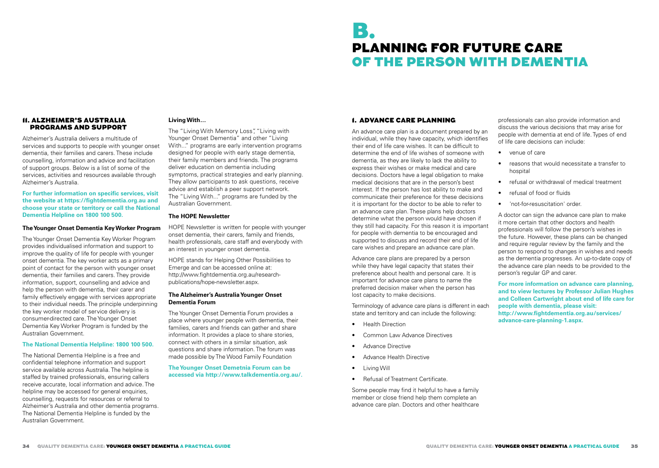# B. PLANNING FOR FUTURE CARE OF THE PERSON WITH DEMENTIA

#### 11. ALZHEIMER'S AUSTRALIA PROGRAMS AND SUPPORT

Alzheimer's Australia delivers a multitude of services and supports to people with younger onset dementia, their families and carers. These include counselling, information and advice and facilitation of support groups. Below is a list of some of the services, activities and resources available through Alzheimer's Australia.

#### **For further information on specific services, visit the website at https://fightdementia.org.au and choose your state or territory or call the National Dementia Helpline on 1800 100 500.**

## **The Younger Onset Dementia Key Worker Program**

The Younger Onset Dementia Key Worker Program provides individualised information and support to improve the quality of life for people with younger onset dementia. The key worker acts as a primary point of contact for the person with younger onset dementia, their families and carers. They provide information, support, counselling and advice and help the person with dementia, their carer and family effectively engage with services appropriate to their individual needs. The principle underpinning the key worker model of service delivery is consumer-directed care. The Younger Onset Dementia Key Worker Program is funded by the Australian Government.

## **The National Dementia Helpline: 1800 100 500.**

The National Dementia Helpline is a free and confidential telephone information and support service available across Australia. The helpline is staffed by trained professionals, ensuring callers receive accurate, local information and advice. The helpline may be accessed for general enquiries, counselling, requests for resources or referral to Alzheimer's Australia and other dementia programs. The National Dementia Helpline is funded by the Australian Government.

## **Living With…**

The "Living With Memory Loss", "Living with Younger Onset Dementia" and other "Living With..." programs are early intervention programs designed for people with early stage dementia, their family members and friends. The programs deliver education on dementia including symptoms, practical strategies and early planning. They allow participants to ask questions, receive advice and establish a peer support network. The "Living With..." programs are funded by the Australian Government.

## **The HOPE Newsletter**

HOPE Newsletter is written for people with younger onset dementia, their carers, family and friends, health professionals, care staff and everybody with an interest in younger onset dementia.

HOPE stands for Helping Other Possibilities to Emerge and can be accessed online at: http://www.fightdementia.org.au/researchpublications/hope-newsletter.aspx.

## **The Alzheimer's Australia Younger Onset Dementia Forum**

The Younger Onset Dementia Forum provides a place where younger people with dementia, their families, carers and friends can gather and share information. It provides a place to share stories, connect with others in a similar situation, ask questions and share information. The forum was made possible by The Wood Family Foundation

## **The Younger Onset Demetnia Forum can be accessed via http://www.talkdementia.org.au/.**

## 1. ADVANCE CARE PLANNING

An advance care plan is a document prepared by an individual, while they have capacity, which identifies their end of life care wishes. It can be difficult to determine the end of life wishes of someone with dementia, as they are likely to lack the ability to express their wishes or make medical and care decisions. Doctors have a legal obligation to make medical decisions that are in the person's best interest. If the person has lost ability to make and communicate their preference for these decisions it is important for the doctor to be able to refer to an advance care plan. These plans help doctors determine what the person would have chosen if they still had capacity. For this reason it is important for people with dementia to be encouraged and supported to discuss and record their end of life care wishes and prepare an advance care plan.

Advance care plans are prepared by a person while they have legal capacity that states their preference about health and personal care. It is important for advance care plans to name the preferred decision maker when the person has lost capacity to make decisions.

Terminology of advance care plans is different in each state and territory and can include the following:

- Health Direction
- Common Law Advance Directives
- Advance Directive
- Advance Health Directive
- Living Will
- Refusal of Treatment Certificate.

Some people may find it helpful to have a family member or close friend help them complete an advance care plan. Doctors and other healthcare

professionals can also provide information and discuss the various decisions that may arise for people with dementia at end of life. Types of end of life care decisions can include:

- venue of care
- reasons that would necessitate a transfer to hospital
- refusal or withdrawal of medical treatment
- refusal of food or fluids
- 'not-for-resuscitation' order.

A doctor can sign the advance care plan to make it more certain that other doctors and health professionals will follow the person's wishes in the future. However, these plans can be changed and require regular review by the family and the person to respond to changes in wishes and needs as the dementia progresses. An up-to-date copy of the advance care plan needs to be provided to the person's regular GP and carer.

**For more information on advance care planning, and to view lectures by Professor Julian Hughes and Colleen Cartwright about end of life care for people with dementia, please visit: http://www.fightdementia.org.au/services/ advance-care-planning-1.aspx.**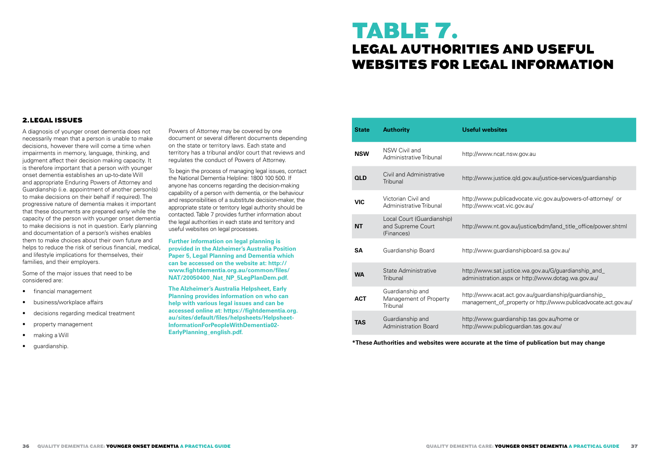# TABLE 7. LEGAL AUTHORITIES AND USEFUL WEBSITES FOR LEGAL INFORMATION

## 2.LEGAL ISSUES

A diagnosis of younger onset dementia does not necessarily mean that a person is unable to make decisions, however there will come a time when impairments in memory, language, thinking, and judgment affect their decision making capacity. It is therefore important that a person with younger onset dementia establishes an up-to-date Will and appropriate Enduring Powers of Attorney and Guardianship (i.e. appointment of another person(s) to make decisions on their behalf if required). The progressive nature of dementia makes it important that these documents are prepared early while the capacity of the person with younger onset dementia to make decisions is not in question. Early planning and documentation of a person's wishes enables them to make choices about their own future and helps to reduce the risk of serious financial, medical, and lifestyle implications for themselves, their families, and their employers.

Some of the major issues that need to be considered are:

- financial management
- business/workplace affairs
- decisions regarding medical treatment
- property management
- making a Will
- guardianship.

Powers of Attorney may be covered by one document or several different documents depending on the state or territory laws. Each state and territory has a tribunal and/or court that reviews and regulates the conduct of Powers of Attorney.

To begin the process of managing legal issues, contact the National Dementia Helpline: 1800 100 500. If anyone has concerns regarding the decision-making capability of a person with dementia, or the behaviour and responsibilities of a substitute decision-maker, the appropriate state or territory legal authority should be contacted. Table 7 provides further information about the legal authorities in each state and territory and useful websites on legal processes.

**Further information on legal planning is provided in the Alzheimer's Australia Position Paper 5, Legal Planning and Dementia which can be accessed on the website at: http:// www.fightdementia.org.au/common/files/ NAT/20050400\_Nat\_NP\_5LegPlanDem.pdf.**

**The Alzheimer's Australia Helpsheet, Early Planning provides information on who can help with various legal issues and can be accessed online at: https://fightdementia.org. au/sites/default/files/helpsheets/Helpsheet-InformationForPeopleWithDementia02- EarlyPlanning\_english.pdf.** 

| <b>State</b> | <b>Authority</b>                                              | <b>Useful websites</b>                                                                                                   |
|--------------|---------------------------------------------------------------|--------------------------------------------------------------------------------------------------------------------------|
| <b>NSW</b>   | NSW Civil and<br>Administrative Tribunal                      | http://www.ncat.nsw.gov.au                                                                                               |
| <b>QLD</b>   | Civil and Administrative<br>Tribunal                          | http://www.justice.qld.gov.au/justice-services/guardianship                                                              |
| VIC          | Victorian Civil and<br>Administrative Tribunal                | http://www.publicadvocate.vic.gov.au/powers-of-attorney/ or<br>http://www.vcat.vic.gov.au/                               |
| NΤ           | Local Court (Guardianship)<br>and Supreme Court<br>(Finances) | http://www.nt.gov.au/justice/bdm/land_title_office/power.shtml                                                           |
| SΑ           | Guardianship Board                                            | http://www.guardianshipboard.sa.gov.au/                                                                                  |
| <b>WA</b>    | State Administrative<br>Tribunal                              | http://www.sat.justice.wa.gov.au/G/guardianship_and_<br>administration.aspx or http://www.dotag.wa.gov.au/               |
| <b>ACT</b>   | Guardianship and<br>Management of Property<br>Tribunal        | http://www.acat.act.gov.au/guardianship/guardianship_<br>management_of_property or http://www.publicadvocate.act.gov.au/ |
| <b>TAS</b>   | Guardianship and<br><b>Administration Board</b>               | http://www.guardianship.tas.gov.au/home or<br>http://www.publicguardian.tas.gov.au/                                      |

**\*These Authorities and websites were accurate at the time of publication but may change**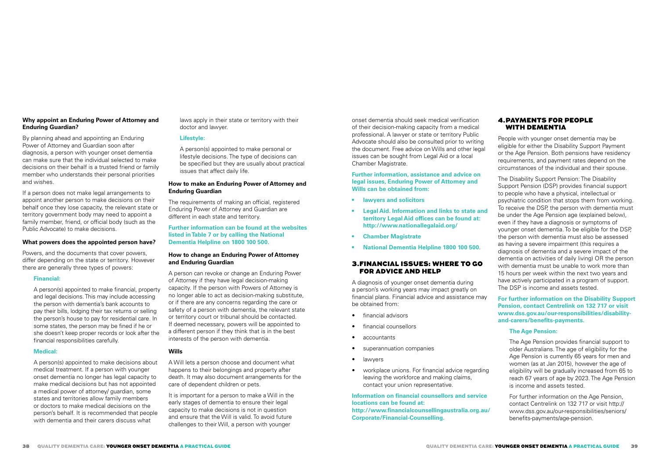#### **Why appoint an Enduring Power of Attorney and Enduring Guardian?**

By planning ahead and appointing an Enduring Power of Attorney and Guardian soon after diagnosis, a person with younger onset dementia can make sure that the individual selected to make decisions on their behalf is a trusted friend or family member who understands their personal priorities and wishes.

If a person does not make legal arrangements to appoint another person to make decisions on their behalf once they lose capacity, the relevant state or territory government body may need to appoint a family member, friend, or official body (such as the Public Advocate) to make decisions.

#### **What powers does the appointed person have?**

Powers, and the documents that cover powers, differ depending on the state or territory. However there are generally three types of powers:

#### **Financial:**

A person(s) appointed to make financial, property and legal decisions. This may include accessing the person with dementia's bank accounts to pay their bills, lodging their tax returns or selling the person's house to pay for residential care. In some states, the person may be fined if he or she doesn't keep proper records or look after the financial responsibilities carefully.

#### **Medical:**

A person(s) appointed to make decisions about medical treatment. If a person with younger onset dementia no longer has legal capacity to make medical decisions but has not appointed a medical power of attorney/ guardian, some states and territories allow family members or doctors to make medical decisions on the person's behalf. It is recommended that people with dementia and their carers discuss what

laws apply in their state or territory with their doctor and lawyer.

#### **Lifestyle:**

A person(s) appointed to make personal or lifestyle decisions. The type of decisions can be specified but they are usually about practical issues that affect daily life.

## **How to make an Enduring Power of Attorney and Enduring Guardian**

The requirements of making an official, registered Enduring Power of Attorney and Guardian are different in each state and territory.

#### **Further information can be found at the websites listed in Table 7 or by calling the National Dementia Helpline on 1800 100 500.**

#### **How to change an Enduring Power of Attorney and Enduring Guardian**

A person can revoke or change an Enduring Power of Attorney if they have legal decision-making capacity. If the person with Powers of Attorney is no longer able to act as decision-making substitute, or if there are any concerns regarding the care or safety of a person with dementia, the relevant state or territory court or tribunal should be contacted. If deemed necessary, powers will be appointed to a different person if they think that is in the best interests of the person with dementia.

## **Wills**

A Will lets a person choose and document what happens to their belongings and property after death. It may also document arrangements for the care of dependent children or pets.

It is important for a person to make a Will in the early stages of dementia to ensure their legal capacity to make decisions is not in question and ensure that the Will is valid. To avoid future challenges to their Will, a person with younger

onset dementia should seek medical verification of their decision-making capacity from a medical professional. A lawyer or state or territory Public Advocate should also be consulted prior to writing the document. Free advice on Wills and other legal issues can be sought from Legal Aid or a local Chamber Magistrate.

#### **Further information, assistance and advice on legal issues, Enduring Power of Attorney and Wills can be obtained from:**

- **• lawyers and solicitors**
- **• Legal Aid. Information and links to state and territory Legal Aid offices can be found at: http://www.nationallegalaid.org/**
- **• Chamber Magistrate**
- **• National Dementia Helpline 1800 100 500.**

## 3.FINANCIAL ISSUES: WHERE TO GO FOR ADVICE AND HELP

A diagnosis of younger onset dementia during a person's working years may impact greatly on financial plans. Financial advice and assistance may be obtained from:

- financial advisors
- financial counsellors
- accountants
- superannuation companies
- lawyers
- workplace unions. For financial advice regarding leaving the workforce and making claims, contact your union representative.

#### **Information on financial counsellors and service locations can be found at: http://www.financialcounsellingaustralia.org.au/**

**Corporate/Financial-Counselling.**

#### 4.PAYMENTS FOR PEOPLE WITH DEMENTIA

People with younger onset dementia may be eligible for either the Disability Support Payment or the Age Pension. Both pensions have residency requirements, and payment rates depend on the circumstances of the individual and their spouse.

The Disability Support Pension: The Disability Support Pension (DSP) provides financial support to people who have a physical, intellectual or psychiatric condition that stops them from working. To receive the DSP, the person with dementia must be under the Age Pension age (explained below), even if they have a diagnosis or symptoms of younger onset dementia. To be eligible for the DSP, the person with dementia must also be assessed as having a severe impairment (this requires a diagnosis of dementia and a severe impact of the dementia on activities of daily living) OR the person with dementia must be unable to work more than 15 hours per week within the next two years and have actively participated in a program of support. The DSP is income and assets tested.

### **For further information on the Disability Support Pension, contact Centrelink on 132 717 or visit www.dss.gov.au/our-responsibilities/disabilityand-carers/benefits-payments.**

## **The Age Pension:**

The Age Pension provides financial support to older Australians. The age of eligibility for the Age Pension is currently 65 years for men and women (as at Jan 2015), however the age of eligibility will be gradually increased from 65 to reach 67 years of age by 2023. The Age Pension is income and assets tested.

For further information on the Age Pension, contact Centrelink on 132 717 or visit http:// www.dss.gov.au/our-responsibilities/seniors/ benefits-payments/age-pension.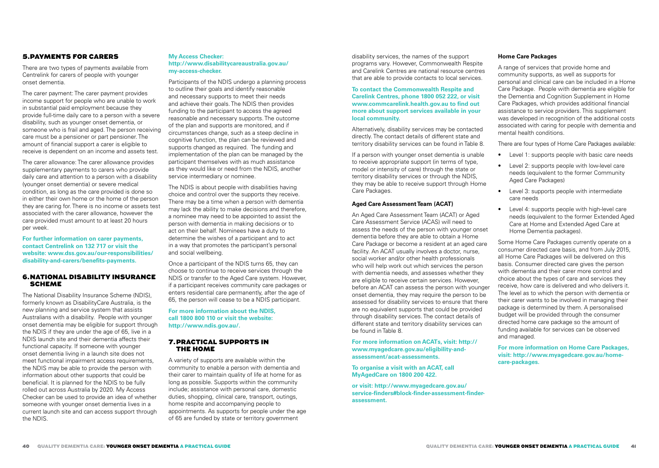## 5.PAYMENTS FOR CARERS

There are two types of payments available from Centrelink for carers of people with younger onset dementia.

The carer payment: The carer payment provides income support for people who are unable to work in substantial paid employment because they provide full-time daily care to a person with a severe disability, such as younger onset dementia, or someone who is frail and aged. The person receiving care must be a pensioner or part pensioner. The amount of financial support a carer is eligible to receive is dependent on an income and assets test.

The carer allowance: The carer allowance provides supplementary payments to carers who provide daily care and attention to a person with a disability (younger onset dementia) or severe medical condition, as long as the care provided is done so in either their own home or the home of the person they are caring for. There is no income or assets test associated with the carer allowance, however the care provided must amount to at least 20 hours per week.

**For further information on carer payments, contact Centrelink on 132 717 or visit the website: www.dss.gov.au/our-responsibilities/ disability-and-carers/benefits-payments.**

## 6.NATIONAL DISABILITY INSURANCE SCHEME

The National Disability Insurance Scheme (NDIS), formerly known as DisabilityCare Australia, is the new planning and service system that assists Australians with a disability. People with younger onset dementia may be eligible for support through the NDIS if they are under the age of 65, live in a NDIS launch site and their dementia affects their functional capacity. If someone with younger onset dementia living in a launch site does not meet functional impairment access requirements, the NDIS may be able to provide the person with information about other supports that could be beneficial. It is planned for the NDIS to be fully rolled out across Australia by 2020. My Access Checker can be used to provide an idea of whether someone with younger onset dementia lives in a current launch site and can access support through the NDIS.

## **My Access Checker: http://www.disabilitycareaustralia.gov.au/ my-access-checker.**

Participants of the NDIS undergo a planning process to outline their goals and identify reasonable and necessary supports to meet their needs and achieve their goals. The NDIS then provides funding to the participant to access the agreed reasonable and necessary supports. The outcome of the plan and supports are monitored, and if circumstances change, such as a steep decline in cognitive function, the plan can be reviewed and supports changed as required. The funding and implementation of the plan can be managed by the participant themselves with as much assistance as they would like or need from the NDIS, another service intermediary or nominee.

The NDIS is about people with disabilities having choice and control over the supports they receive. There may be a time when a person with dementia may lack the ability to make decisions and therefore, a nominee may need to be appointed to assist the person with dementia in making decisions or to act on their behalf. Nominees have a duty to determine the wishes of a participant and to act in a way that promotes the participant's personal and social wellbeing.

Once a participant of the NDIS turns 65, they can choose to continue to receive services through the NDIS or transfer to the Aged Care system. However, if a participant receives community care packages or enters residential care permanently, after the age of 65, the person will cease to be a NDIS participant.

**For more information about the NDIS, call 1800 800 110 or visit the website: http://www.ndis.gov.au/.**

## 7.PRACTICAL SUPPORTS IN THE HOME

A variety of supports are available within the community to enable a person with dementia and their carer to maintain quality of life at home for as long as possible. Supports within the community include; assistance with personal care, domestic duties, shopping, clinical care, transport, outings, home respite and accompanying people to appointments. As supports for people under the age of 65 are funded by state or territory government

disability services, the names of the support programs vary. However, Commonwealth Respite and Carelink Centres are national resource centres that are able to provide contacts to local services.

#### **To contact the Commonwealth Respite and Carelink Centres, phone 1800 052 222, or visit www.commcarelink.health.gov.au to find out more about support services available in your local community.**

Alternatively, disability services may be contacted directly. The contact details of different state and territory disability services can be found in Table 8.

If a person with younger onset dementia is unable to receive appropriate support (in terms of type, model or intensity of care) through the state or territory disability services or through the NDIS, they may be able to receive support through Home Care Packages.

## **Aged Care Assessment Team (ACAT)**

An Aged Care Assessment Team (ACAT) or Aged Care Assessment Service (ACAS) will need to assess the needs of the person with younger onset dementia before they are able to obtain a Home Care Package or become a resident at an aged care facility. An ACAT usually involves a doctor, nurse, social worker and/or other health professionals who will help work out which services the person with dementia needs, and assesses whether they are eligible to receive certain services. However, before an ACAT can assess the person with younger onset dementia, they may require the person to be assessed for disability services to ensure that there are no equivalent supports that could be provided through disability services. The contact details of different state and territory disability services can be found in Table 8.

**For more information on ACATs, visit: http:// www.myagedcare.gov.au/eligibility-andassessment/acat-assessments.**

**To organise a visit with an ACAT, call MyAgedCare on 1800 200 422.**

**or visit: http://www.myagedcare.gov.au/ service-finders#block-finder-assessment-finderassessment.**

#### **Home Care Packages**

A range of services that provide home and community supports, as well as supports for personal and clinical care can be included in a Home Care Package. People with dementia are eligible for the Dementia and Cognition Supplement in Home Care Packages, which provides additional financial assistance to service providers. This supplement was developed in recognition of the additional costs associated with caring for people with dementia and mental health conditions.

There are four types of Home Care Packages available:

- Level 1: supports people with basic care needs
- Level 2: supports people with low-level care needs (equivalent to the former Community Aged Care Packages)
- Level 3: supports people with intermediate care needs
- Level 4: supports people with high-level care needs (equivalent to the former Extended Aged Care at Home and Extended Aged Care at Home Dementia packages).

Some Home Care Packages currently operate on a consumer directed care basis, and from July 2015, all Home Care Packages will be delivered on this basis. Consumer directed care gives the person with dementia and their carer more control and choice about the types of care and services they receive, how care is delivered and who delivers it. The level as to which the person with dementia or their carer wants to be involved in managing their package is determined by them. A personalised budget will be provided through the consumer directed home care package so the amount of funding available for services can be observed and managed.

**For more information on Home Care Packages, visit: http://www.myagedcare.gov.au/homecare-packages.**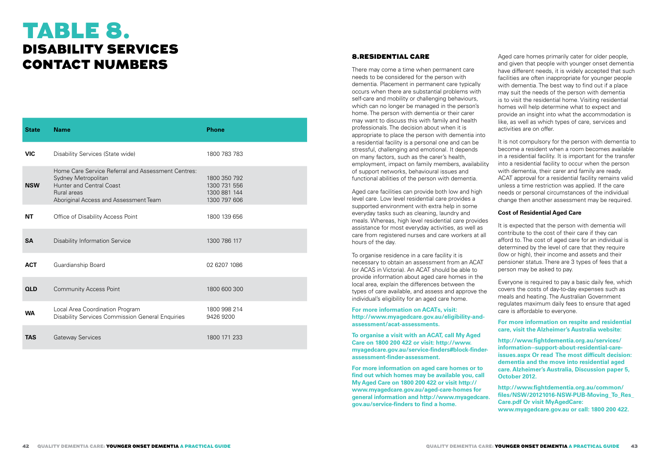# TABLE 8. DISABILITY SERVICES CONTACT NUMBERS

| <b>State</b> | <b>Name</b>                                                                                                                                                   | <b>Phone</b>                                                 |
|--------------|---------------------------------------------------------------------------------------------------------------------------------------------------------------|--------------------------------------------------------------|
| <b>VIC</b>   | Disability Services (State wide)                                                                                                                              | 1800 783 783                                                 |
| <b>NSW</b>   | Home Care Service Referral and Assessment Centres:<br>Sydney Metropolitan<br>Hunter and Central Coast<br>Rural areas<br>Aboriginal Access and Assessment Team | 1800 350 792<br>1300 731 556<br>1300 881 144<br>1300 797 606 |
| NΤ           | Office of Disability Access Point                                                                                                                             | 1800 139 656                                                 |
| <b>SA</b>    | <b>Disability Information Service</b>                                                                                                                         | 1300 786 117                                                 |
| <b>ACT</b>   | Guardianship Board                                                                                                                                            | 02 6207 1086                                                 |
| <b>QLD</b>   | <b>Community Access Point</b>                                                                                                                                 | 1800 600 300                                                 |
| <b>WA</b>    | Local Area Coordination Program<br>Disability Services Commission General Enquiries                                                                           | 1800 998 214<br>9426 9200                                    |
| <b>TAS</b>   | <b>Gateway Services</b>                                                                                                                                       | 1800 171 233                                                 |

## 8.RESIDENTIAL CARE

There may come a time when permanent care needs to be considered for the person with dementia. Placement in permanent care typically occurs when there are substantial problems with self-care and mobility or challenging behaviours, which can no longer be managed in the person's home. The person with dementia or their carer may want to discuss this with family and health professionals. The decision about when it is appropriate to place the person with dementia into a residential facility is a personal one and can be stressful, challenging and emotional. It depends on many factors, such as the carer's health, employment, impact on family members, availability of support networks, behavioural issues and functional abilities of the person with dementia.

Aged care facilities can provide both low and high level care. Low level residential care provides a supported environment with extra help in some everyday tasks such as cleaning, laundry and meals. Whereas, high level residential care provides assistance for most everyday activities, as well as care from registered nurses and care workers at all hours of the day.

To organise residence in a care facility it is necessary to obtain an assessment from an ACAT (or ACAS in Victoria). An ACAT should be able to provide information about aged care homes in the local area, explain the differences between the types of care available, and assess and approve the individual's eligibility for an aged care home.

**For more information on ACATs, visit: http://www.myagedcare.gov.au/eligibility-andassessment/acat-assessments.**

**To organise a visit with an ACAT, call My Aged Care on 1800 200 422 or visit: http://www. myagedcare.gov.au/service-finders#block-finderassessment-finder-assessment.**

**For more information on aged care homes or to find out which homes may be available you, call My Aged Care on 1800 200 422 or visit http:// www.myagedcare.gov.au/aged-care-homes for general information and http://www.myagedcare. gov.au/service-finders to find a home.** 

Aged care homes primarily cater for older people, and given that people with younger onset dementia have different needs, it is widely accepted that such facilities are often inappropriate for younger people with dementia. The best way to find out if a place may suit the needs of the person with dementia is to visit the residential home. Visiting residential homes will help determine what to expect and provide an insight into what the accommodation is like, as well as which types of care, services and activities are on offer.

It is not compulsory for the person with dementia to become a resident when a room becomes available in a residential facility. It is important for the transfer into a residential facility to occur when the person with dementia, their carer and family are ready. ACAT approval for a residential facility remains valid unless a time restriction was applied. If the care needs or personal circumstances of the individual change then another assessment may be required.

#### **Cost of Residential Aged Care**

It is expected that the person with dementia will contribute to the cost of their care if they can afford to. The cost of aged care for an individual is determined by the level of care that they require (low or high), their income and assets and their pensioner status. There are 3 types of fees that a person may be asked to pay.

Everyone is required to pay a basic daily fee, which covers the costs of day-to-day expenses such as meals and heating. The Australian Government regulates maximum daily fees to ensure that aged care is affordable to everyone.

**For more information on respite and residential care, visit the Alzheimer's Australia website:**

**http://www.fightdementia.org.au/services/ information--support-about-residential-careissues.aspx Or read The most difficult decision: dementia and the move into residential aged care. Alzheimer's Australia, Discussion paper 5, October 2012.**

**http://www.fightdementia.org.au/common/ files/NSW/20121016-NSW-PUB-Moving\_To\_Res\_ Care.pdf Or visit MyAgedCare: www.myagedcare.gov.au or call: 1800 200 422.**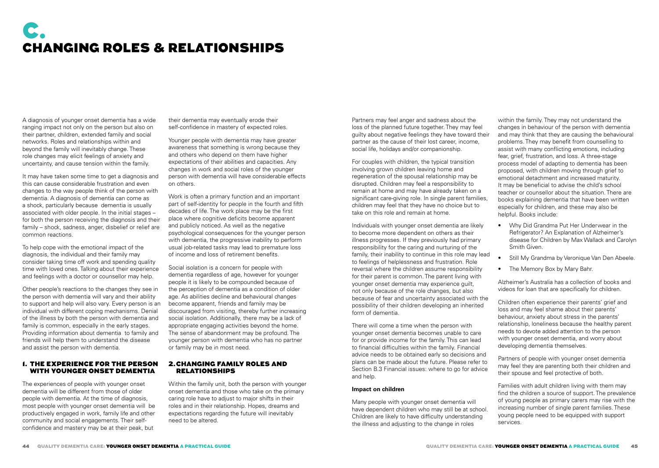# C. CHANGING ROLES & RELATIONSHIPS

A diagnosis of younger onset dementia has a wide ranging impact not only on the person but also on their partner, children, extended family and social networks. Roles and relationships within and beyond the family will inevitably change. These role changes may elicit feelings of anxiety and uncertainty, and cause tension within the family.

It may have taken some time to get a diagnosis and this can cause considerable frustration and even changes to the way people think of the person with dementia. A diagnosis of dementia can come as a shock, particularly because dementia is usually associated with older people. In the initial stages – for both the person receiving the diagnosis and their family – shock, sadness, anger, disbelief or relief are common reactions.

To help cope with the emotional impact of the diagnosis, the individual and their family may consider taking time off work and spending quality time with loved ones. Talking about their experience and feelings with a doctor or counsellor may help.

Other people's reactions to the changes they see in the person with dementia will vary and their ability to support and help will also vary. Every person is an individual with different coping mechanisms. Denial of the illness by both the person with dementia and family is common, especially in the early stages. Providing information about dementia to family and friends will help them to understand the disease and assist the person with dementia.

## 1. THE EXPERIENCE FOR THE PERSON WITH YOUNGER ONSET DEMENTIA

The experiences of people with younger onset dementia will be different from those of older people with dementia. At the time of diagnosis, most people with younger onset dementia will be productively engaged in work, family life and other community and social engagements. Their selfconfidence and mastery may be at their peak, but

their dementia may eventually erode their self-confidence in mastery of expected roles.

Younger people with dementia may have greater awareness that something is wrong because they and others who depend on them have higher expectations of their abilities and capacities. Any changes in work and social roles of the younger person with dementia will have considerable effects on others.

Work is often a primary function and an important part of self-identity for people in the fourth and fifth decades of life. The work place may be the first place where cognitive deficits become apparent and publicly noticed. As well as the negative psychological consequences for the younger person with dementia, the progressive inability to perform usual job-related tasks may lead to premature loss of income and loss of retirement benefits.

Social isolation is a concern for people with dementia regardless of age, however for younger people it is likely to be compounded because of the perception of dementia as a condition of older age. As abilities decline and behavioural changes become apparent, friends and family may be discouraged from visiting, thereby further increasing social isolation. Additionally, there may be a lack of appropriate engaging activities beyond the home. The sense of abandonment may be profound. The younger person with dementia who has no partner or family may be in most need.

## 2.CHANGING FAMILY ROLES AND RELATIONSHIPS

Within the family unit, both the person with younger onset dementia and those who take on the primary caring role have to adjust to major shifts in their roles and in their relationship. Hopes, dreams and expectations regarding the future will inevitably need to be altered.

Partners may feel anger and sadness about the loss of the planned future together. They may feel guilty about negative feelings they have toward their partner as the cause of their lost career, income, social life, holidays and/or companionship.

For couples with children, the typical transition involving grown children leaving home and regeneration of the spousal relationship may be disrupted. Children may feel a responsibility to remain at home and may have already taken on a significant care-giving role. In single parent families, children may feel that they have no choice but to take on this role and remain at home.

Individuals with younger onset dementia are likely to become more dependent on others as their illness progresses. If they previously had primary responsibility for the caring and nurturing of the family, their inability to continue in this role may lead to feelings of helplessness and frustration. Role reversal where the children assume responsibility for their parent is common. The parent living with younger onset dementia may experience guilt, not only because of the role changes, but also because of fear and uncertainty associated with the possibility of their children developing an inherited form of dementia.

There will come a time when the person with younger onset dementia becomes unable to care for or provide income for the family. This can lead to financial difficulties within the family. Financial advice needs to be obtained early so decisions and plans can be made about the future. Please refer to Section B.3 Financial issues: where to go for advice and help.

## **Impact on children**

Many people with younger onset dementia will have dependent children who may still be at school. Children are likely to have difficulty understanding the illness and adjusting to the change in roles

within the family. They may not understand the changes in behaviour of the person with dementia and may think that they are causing the behavioural problems. They may benefit from counselling to assist with many conflicting emotions, including fear, grief, frustration, and loss. A three-stage process model of adapting to dementia has been proposed, with children moving through grief to emotional detachment and increased maturity. It may be beneficial to advise the child's school teacher or counsellor about the situation. There are books explaining dementia that have been written especially for children, and these may also be helpful. Books include:

- Why Did Grandma Put Her Underwear in the Refrigerator? An Explanation of Alzheimer's disease for Children by Max Wallack and Carolyn Smith Given.
- Still My Grandma by Veronique Van Den Abeele.
- The Memory Box by Mary Bahr.

Alzheimer's Australia has a collection of books and videos for loan that are specifically for children.

Children often experience their parents' grief and loss and may feel shame about their parents' behaviour, anxiety about stress in the parents' relationship, loneliness because the healthy parent needs to devote added attention to the person with younger onset dementia, and worry about developing dementia themselves.

Partners of people with younger onset dementia may feel they are parenting both their children and their spouse and feel protective of both.

Families with adult children living with them may find the children a source of support. The prevalence of young people as primary carers may rise with the increasing number of single parent families. These young people need to be equipped with support services.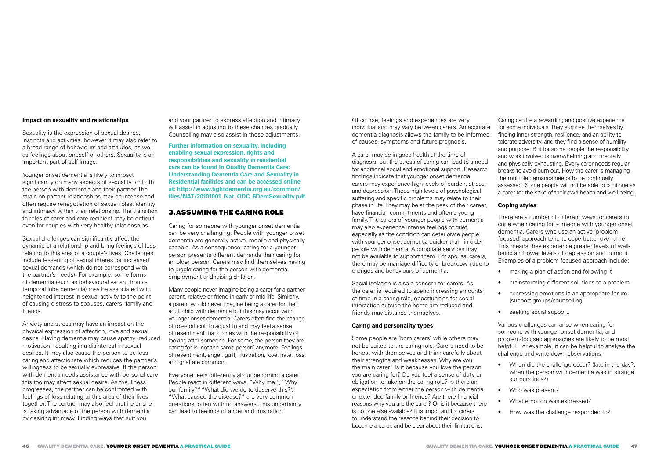## **Impact on sexuality and relationships**

Sexuality is the expression of sexual desires, instincts and activities, however it may also refer to a broad range of behaviours and attitudes, as well as feelings about oneself or others. Sexuality is an important part of self-image.

Younger onset dementia is likely to impact significantly on many aspects of sexuality for both the person with dementia and their partner. The strain on partner relationships may be intense and often require renegotiation of sexual roles, identity and intimacy within their relationship. The transition to roles of carer and care recipient may be difficult even for couples with very healthy relationships.

Sexual challenges can significantly affect the dynamic of a relationship and bring feelings of loss relating to this area of a couple's lives. Challenges include lessening of sexual interest or increased sexual demands (which do not correspond with the partner's needs). For example, some forms of dementia (such as behavioural variant frontotemporal lobe dementia) may be associated with heightened interest in sexual activity to the point of causing distress to spouses, carers, family and friends.

Anxiety and stress may have an impact on the physical expression of affection, love and sexual desire. Having dementia may cause apathy (reduced motivation) resulting in a disinterest in sexual desires. It may also cause the person to be less caring and affectionate which reduces the partner's willingness to be sexually expressive. If the person with dementia needs assistance with personal care this too may affect sexual desire. As the illness progresses, the partner can be confronted with feelings of loss relating to this area of their lives together. The partner may also feel that he or she is taking advantage of the person with dementia by desiring intimacy. Finding ways that suit you

and your partner to express affection and intimacy will assist in adjusting to these changes gradually. Counselling may also assist in these adjustments.

**Further information on sexuality, including enabling sexual expression, rights and responsibilities and sexuality in residential care can be found in Quality Dementia Care: Understanding Dementia Care and Sexuality in Residential facilities and can be accessed online at: http://www.fightdementia.org.au/common/ files/NAT/20101001\_Nat\_QDC\_6DemSexuality.pdf.**

## 3.ASSUMING THE CARING ROLE

Caring for someone with younger onset dementia can be very challenging. People with younger onset dementia are generally active, mobile and physically capable. As a consequence, caring for a younger person presents different demands than caring for an older person. Carers may find themselves having to juggle caring for the person with dementia, employment and raising children.

Many people never imagine being a carer for a partner, parent, relative or friend in early or mid-life. Similarly, a parent would never imagine being a carer for their adult child with dementia but this may occur with younger onset dementia. Carers often find the change of roles difficult to adjust to and may feel a sense of resentment that comes with the responsibility of looking after someone. For some, the person they are caring for is 'not the same person' anymore. Feelings of resentment, anger, guilt, frustration, love, hate, loss, and grief are common.

Everyone feels differently about becoming a carer. People react in different ways. "Why me?", "Why our family?", "What did we do to deserve this?", "What caused the disease?" are very common questions, often with no answers. This uncertainty can lead to feelings of anger and frustration.

Of course, feelings and experiences are very individual and may vary between carers. An accurate dementia diagnosis allows the family to be informed of causes, symptoms and future prognosis.

A carer may be in good health at the time of diagnosis, but the stress of caring can lead to a need for additional social and emotional support. Research findings indicate that younger onset dementia carers may experience high levels of burden, stress, and depression. These high levels of psychological suffering and specific problems may relate to their phase in life. They may be at the peak of their career, have financial commitments and often a young family. The carers of younger people with dementia may also experience intense feelings of grief, especially as the condition can deteriorate people with younger onset dementia quicker than in older people with dementia. Appropriate services may not be available to support them. For spousal carers, there may be marriage difficulty or breakdown due to changes and behaviours of dementia.

Social isolation is also a concern for carers. As the carer is required to spend increasing amounts of time in a caring role, opportunities for social interaction outside the home are reduced and friends may distance themselves.

## **Caring and personality types**

Some people are 'born carers' while others may not be suited to the caring role. Carers need to be honest with themselves and think carefully about their strengths and weaknesses. Why are you the main carer? Is it because you love the person you are caring for? Do you feel a sense of duty or obligation to take on the caring role? Is there an expectation from either the person with dementia or extended family or friends? Are there financial reasons why you are the carer? Or is it because there is no one else available? It is important for carers to understand the reasons behind their decision to become a carer, and be clear about their limitations.

Caring can be a rewarding and positive experience for some individuals. They surprise themselves by finding inner strength, resilience, and an ability to tolerate adversity, and they find a sense of humility and purpose. But for some people the responsibility and work involved is overwhelming and mentally and physically exhausting. Every carer needs regular breaks to avoid burn out. How the carer is managing the multiple demands needs to be continually assessed. Some people will not be able to continue as a carer for the sake of their own health and well-being.

#### **Coping styles**

There are a number of different ways for carers to cope when caring for someone with younger onset dementia. Carers who use an active 'problemfocused' approach tend to cope better over time. This means they experience greater levels of wellbeing and lower levels of depression and burnout. Examples of a problem-focused approach include:

- making a plan of action and following it
- brainstorming different solutions to a problem
- expressing emotions in an appropriate forum (support groups/counselling)
- seeking social support.

Various challenges can arise when caring for someone with younger onset dementia, and problem-focused approaches are likely to be most helpful. For example, it can be helpful to analyse the challenge and write down observations;

- When did the challenge occur? (late in the day?; when the person with dementia was in strange surroundings?)
- Who was present?
- What emotion was expressed?
- How was the challenge responded to?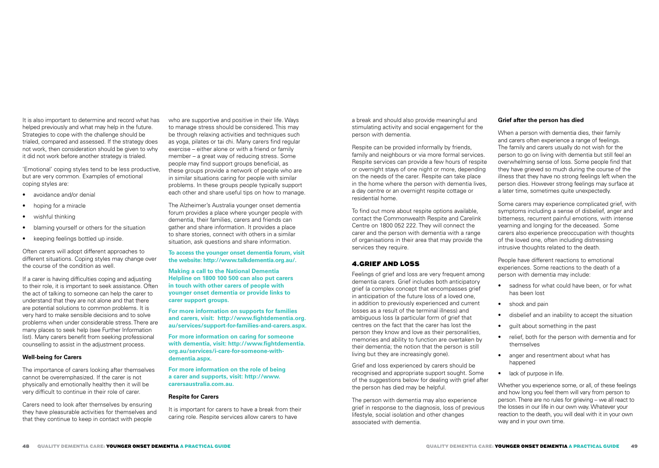It is also important to determine and record what has helped previously and what may help in the future. Strategies to cope with the challenge should be trialed, compared and assessed. If the strategy does not work, then consideration should be given to why it did not work before another strategy is trialed.

'Emotional' coping styles tend to be less productive, but are very common. Examples of emotional coping styles are:

- avoidance and/or denial
- hoping for a miracle
- wishful thinking
- blaming yourself or others for the situation
- keeping feelings bottled up inside.

Often carers will adopt different approaches to different situations. Coping styles may change over the course of the condition as well.

If a carer is having difficulties coping and adjusting to their role, it is important to seek assistance. Often the act of talking to someone can help the carer to understand that they are not alone and that there are potential solutions to common problems. It is very hard to make sensible decisions and to solve problems when under considerable stress. There are many places to seek help (see Further Information list). Many carers benefit from seeking professional counselling to assist in the adjustment process.

#### **Well-being for Carers**

The importance of carers looking after themselves cannot be overemphasized. If the carer is not physically and emotionally healthy then it will be very difficult to continue in their role of carer.

Carers need to look after themselves by ensuring they have pleasurable activities for themselves and that they continue to keep in contact with people

who are supportive and positive in their life. Ways to manage stress should be considered. This may be through relaxing activities and techniques such as yoga, pilates or tai chi. Many carers find regular exercise – either alone or with a friend or family member – a great way of reducing stress. Some people may find support groups beneficial, as these groups provide a network of people who are in similar situations caring for people with similar problems. In these groups people typically support each other and share useful tips on how to manage.

The Alzheimer's Australia younger onset dementia forum provides a place where younger people with dementia, their families, carers and friends can gather and share information. It provides a place to share stories, connect with others in a similar situation, ask questions and share information.

**To access the younger onset dementia forum, visit the website: http://www.talkdementia.org.au/.**

**Making a call to the National Dementia Helpline on 1800 100 500 can also put carers in touch with other carers of people with younger onset dementia or provide links to carer support groups.** 

**For more information on supports for families and carers, visit: http://www.fightdementia.org. au/services/support-for-families-and-carers.aspx.**

**For more information on caring for someone with dementia, visit: http://www.fightdementia. org.au/services/i-care-for-someone-withdementia.aspx.**

**For more information on the role of being a carer and supports, visit: http://www. carersaustralia.com.au.**

#### **Respite for Carers**

It is important for carers to have a break from their caring role. Respite services allow carers to have

a break and should also provide meaningful and stimulating activity and social engagement for the person with dementia.

Respite can be provided informally by friends, family and neighbours or via more formal services. Respite services can provide a few hours of respite or overnight stays of one night or more, depending on the needs of the carer. Respite can take place in the home where the person with dementia lives, a day centre or an overnight respite cottage or residential home.

To find out more about respite options available, contact the Commonwealth Respite and Carelink Centre on 1800 052 222. They will connect the carer and the person with dementia with a range of organisations in their area that may provide the services they require.

## 4.GRIEF AND LOSS

Feelings of grief and loss are very frequent among dementia carers. Grief includes both anticipatory grief (a complex concept that encompasses grief in anticipation of the future loss of a loved one, in addition to previously experienced and current losses as a result of the terminal illness) and ambiguous loss (a particular form of grief that centres on the fact that the carer has lost the person they know and love as their personalities, memories and ability to function are overtaken by their dementia; the notion that the person is still living but they are increasingly gone).

Grief and loss experienced by carers should be recognised and appropriate support sought. Some of the suggestions below for dealing with grief after the person has died may be helpful.

The person with dementia may also experience grief in response to the diagnosis, loss of previous lifestyle, social isolation and other changes associated with dementia.

## **Grief after the person has died**

When a person with dementia dies, their family and carers often experience a range of feelings. The family and carers usually do not wish for the person to go on living with dementia but still feel an overwhelming sense of loss. Some people find that they have grieved so much during the course of the illness that they have no strong feelings left when the person dies. However strong feelings may surface at a later time, sometimes quite unexpectedly.

Some carers may experience complicated grief, with symptoms including a sense of disbelief, anger and bitterness, recurrent painful emotions, with intense yearning and longing for the deceased. Some carers also experience preoccupation with thoughts of the loved one, often including distressing intrusive thoughts related to the death.

People have different reactions to emotional experiences. Some reactions to the death of a person with dementia may include:

- sadness for what could have been, or for what has been lost
- shock and pain
- disbelief and an inability to accept the situation
- guilt about something in the past
- relief both for the person with dementia and for themselves
- anger and resentment about what has happened
- lack of purpose in life.

Whether you experience some, or all, of these feelings and how long you feel them will vary from person to person. There are no rules for grieving – we all react to the losses in our life in our own way. Whatever your reaction to the death, you will deal with it in your own way and in your own time.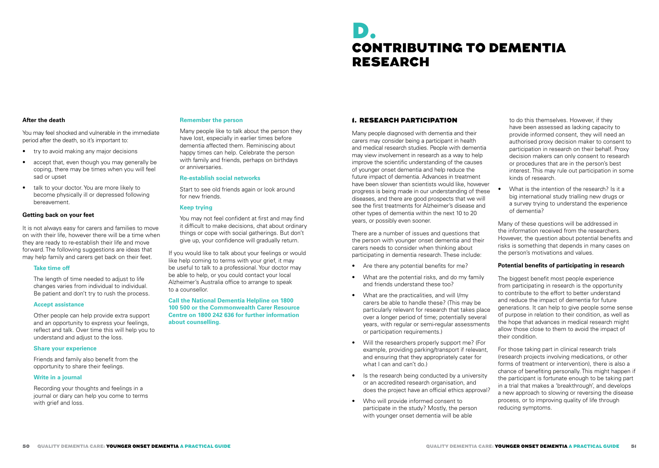# D. CONTRIBUTING TO DEMENTIA RESEARCH

#### **After the death**

You may feel shocked and vulnerable in the immediate period after the death, so it's important to:

- try to avoid making any major decisions
- accept that, even though you may generally be coping, there may be times when you will feel sad or upset
- talk to your doctor. You are more likely to become physically ill or depressed following bereavement.

#### **Getting back on your feet**

It is not always easy for carers and families to move on with their life, however there will be a time when they are ready to re-establish their life and move forward. The following suggestions are ideas that may help family and carers get back on their feet.

#### **Take time off**

The length of time needed to adjust to life changes varies from individual to individual. Be patient and don't try to rush the process.

#### **Accept assistance**

Other people can help provide extra support and an opportunity to express your feelings, reflect and talk. Over time this will help you to understand and adjust to the loss.

#### **Share your experience**

Friends and family also benefit from the opportunity to share their feelings.

#### **Write in a journal**

Recording your thoughts and feelings in a journal or diary can help you come to terms with grief and loss.

#### **Remember the person**

Many people like to talk about the person they have lost, especially in earlier times before dementia affected them. Reminiscing about happy times can help. Celebrate the person with family and friends, perhaps on birthdays or anniversaries.

#### **Re-establish social networks**

Start to see old friends again or look around for new friends.

#### **Keep trying**

You may not feel confident at first and may find it difficult to make decisions, chat about ordinary things or cope with social gatherings. But don't give up, your confidence will gradually return.

If you would like to talk about your feelings or would like help coming to terms with your grief, it may be useful to talk to a professional. Your doctor may be able to help, or you could contact your local Alzheimer's Australia office to arrange to speak to a counsellor.

**Call the National Dementia Helpline on 1800 100 500 or the Commonwealth Carer Resource Centre on 1800 242 636 for further information about counselling.**

## 1. RESEARCH PARTICIPATION

Many people diagnosed with dementia and their carers may consider being a participant in health and medical research studies. People with dementia may view involvement in research as a way to help improve the scientific understanding of the causes of younger onset dementia and help reduce the future impact of dementia. Advances in treatment have been slower than scientists would like, however progress is being made in our understanding of these diseases, and there are good prospects that we will see the first treatments for Alzheimer's disease and other types of dementia within the next 10 to 20 years, or possibly even sooner.

There are a number of issues and questions that the person with younger onset dementia and their carers needs to consider when thinking about participating in dementia research. These include:

- Are there any potential benefits for me?
- What are the potential risks, and do my family and friends understand these too?
- What are the practicalities, and will I/my carers be able to handle these? (This may be particularly relevant for research that takes place over a longer period of time; potentially several years, with regular or semi-regular assessments or participation requirements.)
- Will the researchers properly support me? (For example, providing parking/transport if relevant, and ensuring that they appropriately cater for what I can and can't do.)
- Is the research being conducted by a university or an accredited research organisation, and does the project have an official ethics approval?
- Who will provide informed consent to participate in the study? Mostly, the person with younger onset dementia will be able

to do this themselves. However, if they have been assessed as lacking capacity to provide informed consent, they will need an authorised proxy decision maker to consent to participation in research on their behalf. Proxy decision makers can only consent to research or procedures that are in the person's best interest. This may rule out participation in some kinds of research.

• What is the intention of the research? Is it a big international study trialling new drugs or a survey trying to understand the experience of dementia?

Many of these questions will be addressed in the information received from the researchers. However, the question about potential benefits and risks is something that depends in many cases on the person's motivations and values.

#### **Potential benefits of participating in research**

The biggest benefit most people experience from participating in research is the opportunity to contribute to the effort to better understand and reduce the impact of dementia for future generations. It can help to give people some sense of purpose in relation to their condition, as well as the hope that advances in medical research might allow those close to them to avoid the impact of their condition.

For those taking part in clinical research trials (research projects involving medications, or other forms of treatment or intervention), there is also a chance of benefiting personally. This might happen if the participant is fortunate enough to be taking part in a trial that makes a 'breakthrough', and develops a new approach to slowing or reversing the disease process, or to improving quality of life through reducing symptoms.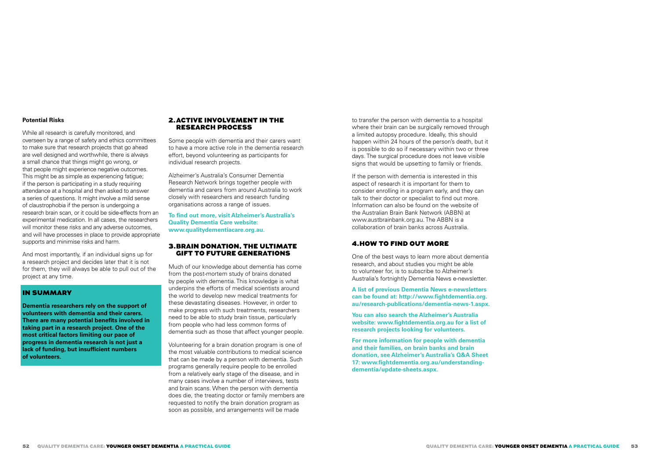#### **Potential Risks**

While all research is carefully monitored, and overseen by a range of safety and ethics committees to make sure that research projects that go ahead are well designed and worthwhile, there is always a small chance that things might go wrong, or that people might experience negative outcomes. This might be as simple as experiencing fatigue; if the person is participating in a study requiring attendance at a hospital and then asked to answer a series of questions. It might involve a mild sense of claustrophobia if the person is undergoing a research brain scan, or it could be side-effects from an experimental medication. In all cases, the researchers will monitor these risks and any adverse outcomes, and will have processes in place to provide appropriate supports and minimise risks and harm.

And most importantly, if an individual signs up for a research project and decides later that it is not for them, they will always be able to pull out of the project at any time.

#### IN SUMMARY

**Dementia researchers rely on the support of volunteers with dementia and their carers. There are many potential benefits involved in taking part in a research project. One of the most critical factors limiting our pace of progress in dementia research is not just a lack of funding, but insufficient numbers of volunteers.** 

## 2.ACTIVE INVOLVEMENT IN THE RESEARCH PROCESS

Some people with dementia and their carers want to have a more active role in the dementia research effort, beyond volunteering as participants for individual research projects.

Alzheimer's Australia's Consumer Dementia Research Network brings together people with dementia and carers from around Australia to work closely with researchers and research funding organisations across a range of issues.

**To find out more, visit Alzheimer's Australia's Quality Dementia Care website: www.qualitydementiacare.org.au.** 

#### 3.BRAIN DONATION, THE ULTIMATE GIFT TO FUTURE GENERATIONS

Much of our knowledge about dementia has come from the post-mortem study of brains donated by people with dementia. This knowledge is what underpins the efforts of medical scientists around the world to develop new medical treatments for these devastating diseases. However, in order to make progress with such treatments, researchers need to be able to study brain tissue, particularly from people who had less common forms of dementia such as those that affect younger people.

Volunteering for a brain donation program is one of the most valuable contributions to medical science that can be made by a person with dementia. Such programs generally require people to be enrolled from a relatively early stage of the disease, and in many cases involve a number of interviews, tests and brain scans. When the person with dementia does die, the treating doctor or family members are requested to notify the brain donation program as soon as possible, and arrangements will be made

to transfer the person with dementia to a hospital where their brain can be surgically removed through a limited autopsy procedure. Ideally, this should happen within 24 hours of the person's death, but it is possible to do so if necessary within two or three days. The surgical procedure does not leave visible signs that would be upsetting to family or friends.

If the person with dementia is interested in this aspect of research it is important for them to consider enrolling in a program early, and they can talk to their doctor or specialist to find out more. Information can also be found on the website of the Australian Brain Bank Network (ABBN) at www.austbrainbank.org.au. The ABBN is a collaboration of brain banks across Australia.

## 4.HOW TO FIND OUT MORE

One of the best ways to learn more about dementia research, and about studies you might be able to volunteer for, is to subscribe to Alzheimer's Australia's fortnightly Dementia News e-newsletter.

**A list of previous Dementia News e-newsletters can be found at: http://www.fightdementia.org. au/research-publications/dementia-news-1.aspx.**

**You can also search the Alzheimer's Australia website: www.fightdementia.org.au for a list of research projects looking for volunteers.**

**For more information for people with dementia and their families, on brain banks and brain donation, see Alzheimer's Australia's Q&A Sheet 17: www.fightdementia.org.au/understandingdementia/update-sheets.aspx.**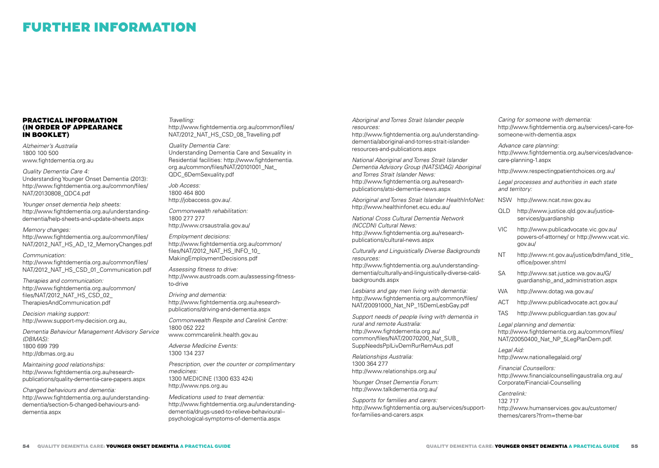## FURTHER INFORMATION

### PRACTICAL INFORMATION (IN ORDER OF APPEARANCE IN BOOKLET)

*Alzheimer's Australia* 1800 100 500 www.fightdementia.org.au

*Quality Dementia Care 4:*  Understanding Younger Onset Dementia (2013): http://www.fightdementia.org.au/common/files/ NAT/20130808\_QDC4.pdf

*Younger onset dementia help sheets:* http://www.fightdementia.org.au/understandingdementia/help-sheets-and-update-sheets.aspx

*Memory changes:*  http://www.fightdementia.org.au/common/files/ NAT/2012\_NAT\_HS\_AD\_12\_MemoryChanges.pdf

*Communication:*  http://www.fightdementia.org.au/common/files/ NAT/2012\_NAT\_HS\_CSD\_01\_Communication.pdf

*Therapies and communication:* http://www.fightdementia.org.au/common/ files/NAT/2012\_NAT\_HS\_CSD\_02\_ TherapiesAndCommunication.pdf

*Decision making support:*  http://www.support-my-decision.org.au,

*Dementia Behaviour Management Advisory Service (DBMAS):*  1800 699 799 http://dbmas.org.au

*Maintaining good relationships:*  http://www.fightdementia.org.au/researchpublications/quality-dementia-care-papers.aspx

*Changed behaviours and dementia:*  http://www.fightdementia.org.au/understandingdementia/section-5-changed-behaviours-anddementia.aspx

#### *Travelling:*  http://www.fightdementia.org.au/common/files/ NAT/2012\_NAT\_HS\_CSD\_08\_Travelling.pdf

*Quality Dementia Care:*  Understanding Dementia Care and Sexuality in Residential facilities: http://www.fightdementia. org.au/common/files/NAT/20101001\_Nat\_ QDC\_6DemSexuality.pdf

*Job Access:* 1800 464 800 http://jobaccess.gov.au/.

*Commonwealth rehabilitation:* 1800 277 277 http://www.crsaustralia.gov.au/

*Employment decisions:*  http://www.fightdementia.org.au/common/ files/NAT/2012\_NAT\_HS\_INFO\_10\_ MakingEmploymentDecisions.pdf

*Assessing fitness to drive:*  http://www.austroads.com.au/assessing-fitnessto-drive

*Driving and dementia:* http://www.fightdementia.org.au/researchpublications/driving-and-dementia.aspx

*Commonwealth Respite and Carelink Centre:*  1800 052 222 www.commcarelink.health.gov.au

*Adverse Medicine Events:* 

1300 134 237 *Prescription, over the counter or complimentary medicines:*  1300 MEDICINE (1300 633 424)

http://www.nps.org.au *Medications used to treat dementia:* http://www.fightdementia.org.au/understandingdementia/drugs-used-to-relieve-behavioural- psychological-symptoms-of-dementia.aspx

*Aboriginal and Torres Strait Islander people resources:*

http://www.fightdementia.org.au/understandingdementia/aboriginal-and-torres-strait-islanderresources-and-publications.aspx

*National Aboriginal and Torres Strait Islander Dementia Advisory Group (NATSIDAG) Aboriginal and Torres Strait Islander News:* http://www.fightdementia.org.au/researchpublications/atsi-dementia-news.aspx

*Aboriginal and Torres Strait Islander HealthInfoNet:*  http://www.healthinfonet.ecu.edu.au/

*National Cross Cultural Dementia Network (NCCDN) Cultural News:*  http://www.fightdementia.org.au/researchpublications/cultural-news.aspx

*Culturally and Linguistically Diverse Backgrounds resources:* 

http://www.fightdementia.org.au/understandingdementia/culturally-and-linguistically-diverse-caldbackgrounds.aspx

*Lesbians and gay men living with dementia:*  http://www.fightdementia.org.au/common/files/ NAT/20091000\_Nat\_NP\_15DemLesbGay.pdf

*Support needs of people living with dementia in rural and remote Australia:*  http://www.fightdementia.org.au/ common/files/NAT/20070200\_Nat\_SUB\_ SuppNeedsPplLivDemRurRemAus.pdf

*Relationships Australia:*  1300 364 277 http://www.relationships.org.au/

*Younger Onset Dementia Forum:* http://www.talkdementia.org.au/

*Supports for families and carers:*  http://www.fightdementia.org.au/services/supportfor-families-and-carers.aspx

*Caring for someone with dementia:* http://www.fightdementia.org.au/services/i-care-forsomeone-with-dementia.aspx

*Advance care planning:* http://www.fightdementia.org.au/services/advancecare-planning-1.aspx

http://www.respectingpatientchoices.org.au/

*Legal processes and authorities in each state and territory:*

- NSW http://www.ncat.nsw.gov.au
- QLD http://www.justice.qld.gov.au/justiceservices/guardianship
- VIC http://www.publicadvocate.vic.gov.au/ powers-of-attorney/ or http://www.vcat.vic. gov.au/
- NT http://www.nt.gov.au/justice/bdm/land\_title\_ office/power.shtml
- SA http://www.sat.justice.wa.gov.au/G/ guardianship\_and\_administration.aspx
- WA http://www.dotag.wa.gov.au/
- ACT http://www.publicadvocate.act.gov.au/
- TAS http://www.publicguardian.tas.gov.au/

*Legal planning and dementia:* http://www.fightdementia.org.au/common/files/ NAT/20050400\_Nat\_NP\_5LegPlanDem.pdf.

*Legal Aid:* http://www.nationallegalaid.org/

*Financial Counsellors:* http://www.financialcounsellingaustralia.org.au/ Corporate/Financial-Counselling

*Centrelink:* 132 717 http://www.humanservices.gov.au/customer/ themes/carers?from=theme-bar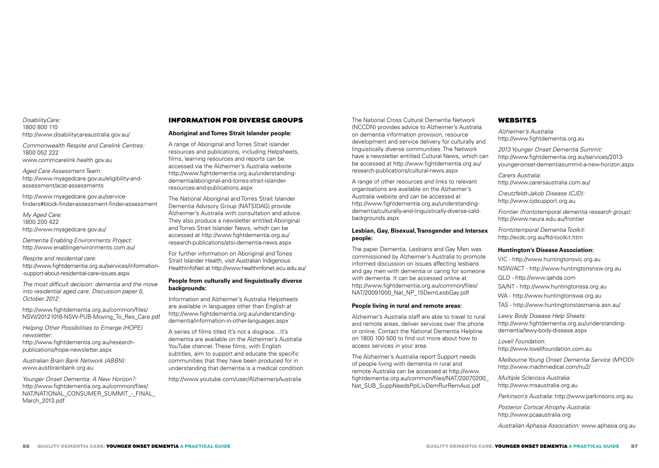#### *DisabilityCare:* 1800 800 110 http://www.disabilitycareaustralia.gov.au/

*Commonwealth Respite and Carelink Centres:*  1800 052 222 www.commcarelink.health.gov.au

*Aged Care Assessment Team:* http://www.myagedcare.gov.au/eligibility-andassessment/acat-assessments

http://www.myagedcare.gov.au/servicefinders#block-finder-assessment-finder-assessment

*My Aged Care:* 1800 200 422 http://www.myagedcare.gov.au/

*Dementia Enabling Environments Project:*  http://www.enablingenvironments.com.au/

*Respite and residential care:*  http://www.fightdementia.org.au/services/information- -support-about-residential-care-issues.aspx

*The most difficult decision: dementia and the move into residential aged care. Discussion paper 5, October 2012:*

http://www.fightdementia.org.au/common/files/ NSW/20121016-NSW-PUB-Moving\_To\_Res\_Care.pdf

*Helping Other Possibilities to Emerge (HOPE) newsletter:* http://www.fightdementia.org.au/research-

publications/hope-newsletter.aspx *Australian Brain Bank Network (ABBN):* 

www.austbrainbank.org.au

*Younger Onset Dementia: A New Horizon?:* http://www.fightdementia.org.au/common/files/ NAT/NATIONAL\_CONSUMER\_SUMMIT\_-\_FINAL March\_2013.pdf

## INFORMATION FOR DIVERSE GROUPS

## **Aboriginal and Torres Strait Islander people:**

A range of Aboriginal and Torres Strait islander resources and publications, including Helpsheets, films, learning resources and reports can be accessed via the Alzheimer's Australia website http://www.fightdementia.org.au/understandingdementia/aboriginal-and-torres-strait-islanderresources-and-publications.aspx

The National Aboriginal and Torres Strait Islander Dementia Advisory Group (NATSIDAG) provide Alzheimer's Australia with consultation and advice. They also produce a newsletter entitled Aboriginal and Torres Strait Islander News, which can be accessed at http://www.fightdementia.org.au/ research-publications/atsi-dementia-news.aspx

For further information on Aboriginal and Torres Strait Islander Health, visit Australian Indigenous HealthInfoNet at http://www.healthinfonet.ecu.edu.au/

## **People from culturally and linguistically diverse backgrounds:**

Information and Alzheimer's Australia Helpsheets are available in languages other than English at http://www.fightdementia.org.au/understandingdementia/information-in-other-languages.aspx

A series of films titled It's not a disgrace…It's dementia are available on the Alzheimer's Australia YouTube channel. These films, with English subtitles, aim to support and educate the specific communities that they have been produced for in understanding that dementia is a medical condition.

http://www.youtube.com/user/AlzheimersAustralia

The National Cross Cultural Dementia Network (NCCDN) provides advice to Alzheimer's Australia on dementia information provision, resource development and service delivery for culturally and linguistically diverse communities. The Network have a newsletter entitled Cultural News, which can be accessed at http://www.fightdementia.org.au/ research-publications/cultural-news.aspx

A range of other resources and links to relevant organisations are available on the Alzheimer's Australia website and can be accessed at http://www.fightdementia.org.au/understandingdementia/culturally-and-linguistically-diverse-caldbackgrounds.aspx

## **Lesbian, Gay, Bisexual, Transgender and Intersex people:**

The paper Dementia, Lesbians and Gay Men was commissioned by Alzheimer's Australia to promote informed discussion on issues affecting lesbians and gay men with dementia or caring for someone with dementia. It can be accessed online at http://www.fightdementia.org.au/common/files/ NAT/20091000\_Nat\_NP\_15DemLesbGay.pdf

## **People living in rural and remote areas:**

Alzheimer's Australia staff are able to travel to rural and remote areas, deliver services over the phone or online. Contact the National Dementia Helpline on 1800 100 500 to find out more about how to access services in your area.

The Alzheimer's Australia report Support needs of people living with dementia in rural and remote Australia can be accessed at http://www. fightdementia.org.au/common/files/NAT/20070200\_ Nat\_SUB\_SuppNeedsPplLivDemRurRemAus.pdf

## WEBSITES

*Alzheimer's Australia:*  http://www.fightdementia.org.au

*2013 Younger Onset Dementia Summit:*  http://www.fightdementia.org.au/services/2013 younger-onset-dementiasummit-a-new-horizon.aspx

*Carers Australia:*  http://www.carersaustralia.com.au/

*Creutzfeldt-Jakob Disease (CJD):*  http://www.cjdsupport.org.au

*Frontier (frontotemporal dementia research group):*  http://www.neura.edu.au/frontier

*Frontotemporal Dementia Toolkit:*  http://ecdc.org.au/ftd-toolkit.htm

## **Huntington's Disease Association:**

VIC - http://www.huntingtonsvic.org.au NSW/ACT - http://www.huntingtonsnsw.org.au QLD - http://www.qahda.com SA/NT - http://www.huntingtonssa.org.au WA - http://www.huntingtonswa.org.au TAS - http://www.huntingtonstasmania.asn.au/ *Lewy Body Disease Help Sheets:* 

http://www.fightdementia.org.au/understandingdementia/lewy-body-disease.aspx

*Lovell Foundation:*  http://www.lovellfoundation.com.au

*Melbourne Young Onset Dementia Service (MYOD):*  http://www.machmedical.com/nu2/

*Multiple Sclerosis Australia:*  http://www.msaustralia.org.au

*Parkinson's Australia:* http://www.parkinsons.org.au

*Posterior Cortical Atrophy Australia:* http://www.pcaaustralia.org

*Australian Aphasia Association:* www.aphasia.org.au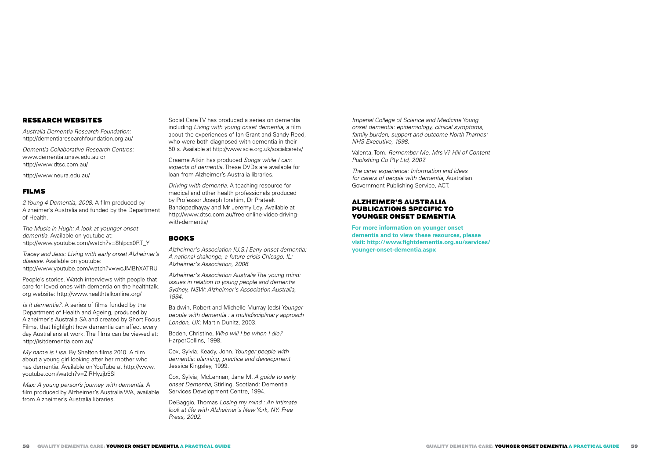## RESEARCH WEBSITES

*Australia Dementia Research Foundation:*  http://dementiaresearchfoundation.org.au/

*Dementia Collaborative Research Centres:*  www.dementia.unsw.edu.au or http://www.dtsc.com.au/

http://www.neura.edu.au/

## FILMS

*2 Young 4 Dementia, 2008*. A film produced by Alzheimer's Australia and funded by the Department of Health.

*The Music in Hugh: A look at younger onset dementia*. Available on youtube at: http://www.youtube.com/watch?v=8hlpcx0RT\_Y

*Tracey and Jess: Living with early onset Alzheimer's disease*. Available on youtube: http://www.youtube.com/watch?v=wcJMBhXATRU

People's stories. Watch interviews with people that care for loved ones with dementia on the healthtalk. org website: http://www.healthtalkonline.org/

*Is it dementia?.* A series of films funded by the Department of Health and Ageing, produced by Alzheimer's Australia SA and created by Short Focus Films, that highlight how dementia can affect every day Australians at work. The films can be viewed at: http://isitdementia.com.au/

*My name is Lisa*. By Shelton films 2010. A film about a young girl looking after her mother who has dementia. Available on YouTube at http://www. youtube.com/watch?v=ZiRHyzjb5SI

*Max: A young person's journey with dementia*. A film produced by Alzheimer's Australia WA, available from Alzheimer's Australia libraries.

Social Care TV has produced a series on dementia including *Living with young onset dementia*, a film about the experiences of Ian Grant and Sandy Reed, who were both diagnosed with dementia in their 50's. Available at http://www.scie.org.uk/socialcaretv/

Graeme Atkin has produced *Songs while I can: aspects of dementia*. These DVDs are available for loan from Alzheimer's Australia libraries.

*Driving with dementia*. A teaching resource for medical and other health professionals produced by Professor Joseph Ibrahim, Dr Prateek Bandopadhayay and Mr Jeremy Ley. Available at http://www.dtsc.com.au/free-online-video-drivingwith-dementia/

## BOOKS

*Alzheimer's Association [U.S.] Early onset dementia: A national challenge, a future crisis Chicago, IL: Alzheimer's Association, 2006.* 

*Alzheimer's Association Australia The young mind: issues in relation to young people and dementia Sydney, NSW: Alzheimer's Association Australia, 1994.* 

Baldwin, Robert and Michelle Murray (eds) *Younger people with dementia : a multidisciplinary approach London, UK:* Martin Dunitz, 2003.

Boden, Christine*, Who will I be when I die?*  HarperCollins, 1998.

Cox, Sylvia; Keady, John. *Younger people with dementia: planning, practice and development* Jessica Kingsley, 1999.

Cox, Sylvia; McLennan, Jane M. *A guide to early onset Dementia*, Stirling, Scotland: Dementia Services Development Centre, 1994.

DeBaggio, Thomas *Losing my mind : An intimate look at life with Alzheimer's New York, NY: Free Press, 2002.* 

*Imperial College of Science and Medicine Young onset dementia: epidemiology, clinical symptoms, family burden, support and outcome North Thames: NHS Executive, 1998*.

Valenta, Tom. *Remember Me, Mrs V? Hill of Content Publishing Co Pty Ltd, 2007.* 

*The carer experience: Information and ideas for carers of people with dementia,* Australian Government Publishing Service, ACT.

### ALZHEIMER'S AUSTRALIA PUBLICATIONS SPECIFIC TO YOUNGER ONSET DEMENTIA

**For more information on younger onset dementia and to view these resources, please visit: http://www.fightdementia.org.au/services/ younger-onset-dementia.aspx**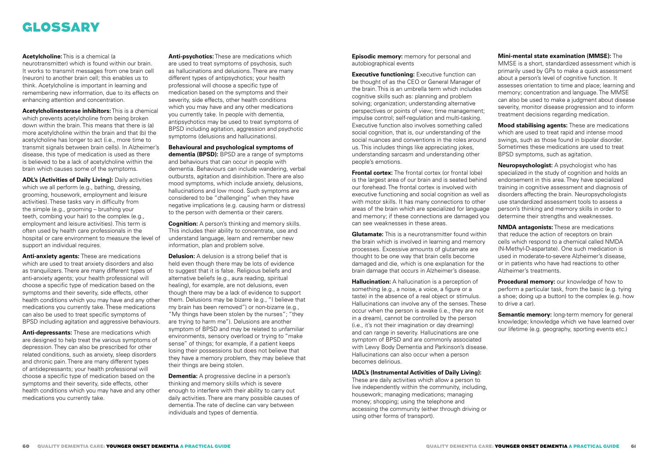## GLOSSARY

#### **Acetylcholine:** This is a chemical (a

neurotransmitter) which is found within our brain. It works to transmit messages from one brain cell (neuron) to another brain cell; this enables us to think. Acetylcholine is important in learning and remembering new information, due to its effects on enhancing attention and concentration.

**Acetylcholinesterase inhibitors:** This is a chemical which prevents acetylcholine from being broken down within the brain. This means that there is (a) more acetylcholine within the brain and that (b) the acetylcholine has longer to act (i.e., more time to transmit signals between brain cells). In Alzheimer's disease, this type of medication is used as there is believed to be a lack of acetylcholine within the brain which causes some of the symptoms.

**ADL's (Activities of Daily Living):** Daily activities which we all perform (e.g., bathing, dressing, grooming, housework, employment and leisure activities). These tasks vary in difficulty from the simple (e.g., grooming – brushing your teeth, combing your hair) to the complex (e.g., employment and leisure activities). This term is often used by health care professionals in the hospital or care environment to measure the level of support an individual requires.

**Anti-anxiety agents:** These are medications which are used to treat anxiety disorders and also as tranquilizers. There are many different types of anti-anxiety agents; your health professional will choose a specific type of medication based on the symptoms and their severity, side effects, other health conditions which you may have and any other medications you currently take. These medications can also be used to treat specific symptoms of BPSD including agitation and aggressive behaviours.

**Anti-depressants:** These are medications which are designed to help treat the various symptoms of depression. They can also be prescribed for other related conditions, such as anxiety, sleep disorders and chronic pain. There are many different types of antidepressants; your health professional will choose a specific type of medication based on the symptoms and their severity, side effects, other health conditions which you may have and any other medications you currently take.

**Anti-psychotics:** These are medications which are used to treat symptoms of psychosis, such as hallucinations and delusions. There are many different types of antipsychotics; your health professional will choose a specific type of medication based on the symptoms and their severity, side effects, other health conditions which you may have and any other medications you currently take. In people with dementia, antipsychotics may be used to treat symptoms of BPSD including agitation, aggression and psychotic symptoms (delusions and hallucinations).

**Behavioural and psychological symptoms of dementia (BPSD):** BPSD are a range of symptoms and behaviours that can occur in people with dementia. Behaviours can include wandering, verbal outbursts, agitation and disinhibition. There are also mood symptoms, which include anxiety, delusions, hallucinations and low mood. Such symptoms are considered to be "challenging" when they have negative implications (e.g. causing harm or distress) to the person with dementia or their carers.

**Cognition:** A person's thinking and memory skills. This includes their ability to concentrate, use and understand language, learn and remember new information, plan and problem solve.

**Delusion:** A delusion is a strong belief that is held even though there may be lots of evidence to suggest that it is false. Religious beliefs and alternative beliefs (e.g., aura reading, spiritual healing), for example, are not delusions, even though there may be a lack of evidence to support them. Delusions may be bizarre (e.g., "I believe that my brain has been removed") or non-bizarre (e.g., "My things have been stolen by the nurses"; "they are trying to harm me"). Delusions are another symptom of BPSD and may be related to unfamiliar environments, sensory overload or trying to "make sense" of things; for example, if a patient keeps losing their possessions but does not believe that they have a memory problem, they may believe that their things are being stolen.

**Dementia:** A progressive decline in a person's thinking and memory skills which is severe enough to interfere with their ability to carry out daily activities. There are many possible causes of dementia. The rate of decline can vary between individuals and types of dementia.

**Episodic memory:** memory for personal and autobiographical events

**Executive functioning:** Executive function can be thought of as the CEO or General Manager of the brain. This is an umbrella term which includes cognitive skills such as: planning and problem solving; organization; understanding alternative perspectives or points of view; time management; impulse control; self-regulation and multi-tasking. Executive function also involves something called social cognition, that is, our understanding of the social nuances and conventions in the roles around us. This includes things like appreciating jokes, understanding sarcasm and understanding other people's emotions.

**Frontal cortex:** The frontal cortex (or frontal lobe) is the largest area of our brain and is seated behind our forehead. The frontal cortex is involved with executive functioning and social cognition as well as with motor skills. It has many connections to other areas of the brain which are specialized for language and memory; if these connections are damaged you can see weaknesses in these areas.

**Glutamate:** This is a neurotransmitter found within the brain which is involved in learning and memory processes. Excessive amounts of glutamate are thought to be one way that brain cells become damaged and die, which is one explanation for the brain damage that occurs in Alzheimer's disease.

**Hallucination:** A hallucination is a perception of something (e.g., a noise, a voice, a figure or a taste) in the absence of a real object or stimulus. Hallucinations can involve any of the senses. These occur when the person is awake (i.e., they are not in a dream), cannot be controlled by the person (i.e., it's not their imagination or day dreaming) and can range in severity. Hallucinations are one symptom of BPSD and are commonly associated with Lewy Body Dementia and Parkinson's disease. Hallucinations can also occur when a person becomes delirious.

**IADL's (Instrumental Activities of Daily Living):**  These are daily activities which allow a person to live independently within the community, including, housework; managing medications; managing money; shopping; using the telephone and accessing the community (either through driving or using other forms of transport).

### **Mini-mental state examination (MMSE):** The

MMSE is a short, standardized assessment which is primarily used by GPs to make a quick assessment about a person's level of cognitive function. It assesses orientation to time and place; learning and memory; concentration and language. The MMSE can also be used to make a judgment about disease severity, monitor disease progression and to inform treatment decisions regarding medication.

**Mood stabilising agents:** These are medications which are used to treat rapid and intense mood swings, such as those found in bipolar disorder. Sometimes these medications are used to treat BPSD symptoms, such as agitation.

**Neuropsychologist:** A psychologist who has specialized in the study of cognition and holds an endorsement in this area. They have specialized training in cognitive assessment and diagnosis of disorders affecting the brain. Neuropsychologists use standardized assessment tools to assess a person's thinking and memory skills in order to determine their strengths and weaknesses.

**NMDA antagonists:** These are medications that reduce the action of receptors on brain cells which respond to a chemical called NMDA (N-Methyl-D-aspartate). One such medication is used in moderate-to-severe Alzheimer's disease, or in patients who have had reactions to other Alzheimer's treatments.

**Procedural memory:** our knowledge of how to perform a particular task, from the basic (e.g. tying a shoe; doing up a button) to the complex (e.g. how to drive a car).

**Semantic memory:** long-term memory for general knowledge; knowledge which we have learned over our lifetime (e.g. geography, sporting events etc.)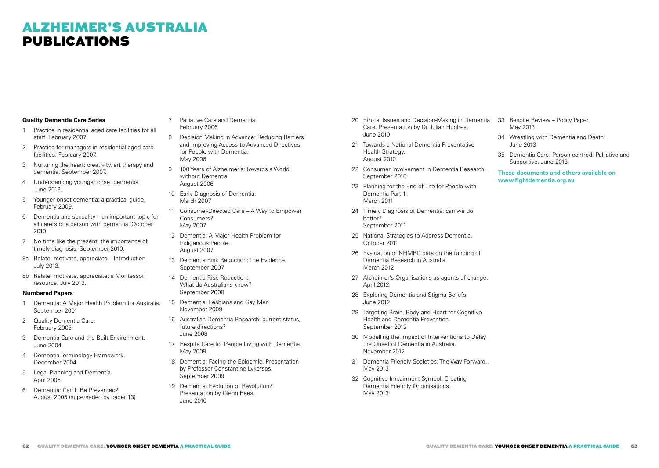## ALZHEIMER'S AUSTRALIA PUBLICATIONS

## **Quality Dementia Care Series**

- 1 Practice in residential aged care facilities for all staff. February 2007.
- 2 Practice for managers in residential aged care facilities. February 2007.
- 3 Nurturing the heart: creativity, art therapy and dementia. September 2007.
- 4 Understanding younger onset dementia. June 2013.
- 5 Younger onset dementia: a practical guide. February 2009.
- 6 Dementia and sexuality an important topic for all carers of a person with dementia. October 2010.
- 7 No time like the present: the importance of timely diagnosis. September 2010.
- 8a Relate, motivate, appreciate Introduction. July 2013.
- 8b Relate, motivate, appreciate: a Montessori resource. July 2013.

#### **Numbered Papers**

- 1 Dementia: A Major Health Problem for Australia. September 2001
- 2 **Quality Dementia Care.** February 2003
- 3 Dementia Care and the Built Environment. June 2004
- 4 Dementia Terminology Framework. December 2004
- 5 Legal Planning and Dementia. April 2005
- 6 Dementia: Can It Be Prevented? August 2005 (superseded by paper 13)
- 7 Palliative Care and Dementia. February 2006
- 8 Decision Making in Advance: Reducing Barriers and Improving Access to Advanced Directives for People with Dementia. May 2006
- 9 100 Years of Alzheimer's: Towards a World without Dementia. August 2006
- 10 Early Diagnosis of Dementia. March 2007
- 11 Consumer-Directed Care A Way to Empower Consumers? May 2007
- 12 Dementia: A Major Health Problem for Indigenous People. August 2007
- 13 Dementia Risk Reduction: The Evidence. September 2007
- 14 Dementia Risk Reduction: What do Australians know? September 2008
- 15 Dementia, Lesbians and Gay Men. November 2009
- 16 Australian Dementia Research: current status, future directions? June 2008
- 17 Respite Care for People Living with Dementia. May 2009
- 18 Dementia: Facing the Epidemic. Presentation by Professor Constantine Lyketsos. September 2009
- 19 Dementia: Evolution or Revolution? Presentation by Glenn Rees. June 2010
- 20 Ethical Issues and Decision-Making in Dementia Care. Presentation by Dr Julian Hughes. June 2010
- 21 Towards a National Dementia Preventative Health Strategy. August 2010
- 22 Consumer Involvement in Dementia Research. September 2010
- 23 Planning for the End of Life for People with Dementia Part 1. March 2011
- 24 Timely Diagnosis of Dementia: can we do better? September 2011
- 25 National Strategies to Address Dementia. October 2011
- 26 Evaluation of NHMRC data on the funding of Dementia Research in Australia. March 2012
- 27 Alzheimer's Organisations as agents of change. April 2012
- 28 Exploring Dementia and Stigma Beliefs. June 2012
- 29 Targeting Brain, Body and Heart for Cognitive Health and Dementia Prevention. September 2012
- 30 Modelling the Impact of Interventions to Delay the Onset of Dementia in Australia. November 2012
- 31 Dementia Friendly Societies: The Way Forward. May 2013
- 32 Cognitive Impairment Symbol: Creating Dementia Friendly Organisations. May 2013
- 33 Respite Review Policy Paper. May 2013
- 34 Wrestling with Dementia and Death. June 2013
- 35 Dementia Care: Person-centred, Palliative and Supportive. June 2013

**These documents and others available on www.fightdementia.org.au**